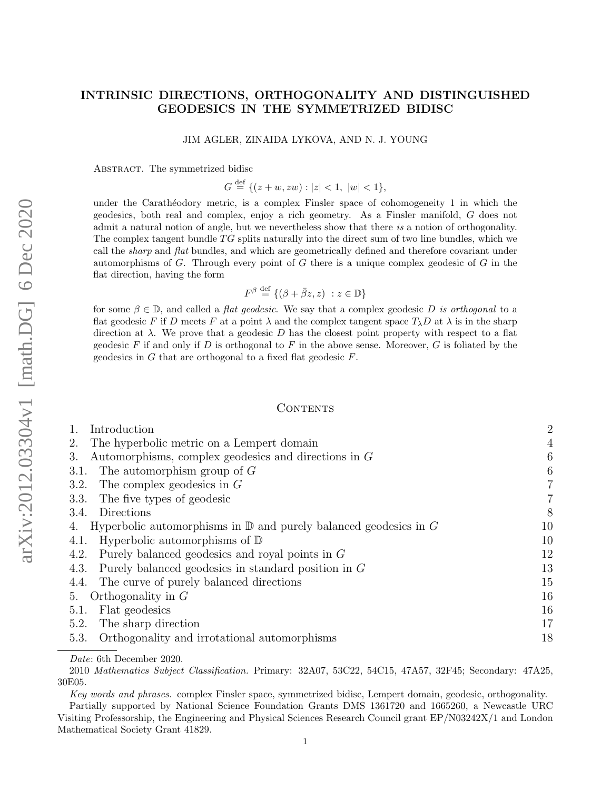## INTRINSIC DIRECTIONS, ORTHOGONALITY AND DISTINGUISHED GEODESICS IN THE SYMMETRIZED BIDISC

JIM AGLER, ZINAIDA LYKOVA, AND N. J. YOUNG

ABSTRACT. The symmetrized bidisc

 $G \stackrel{\text{def}}{=} \{ (z+w, zw) : |z| < 1, \ |w| < 1 \},\$ 

under the Carathéodory metric, is a complex Finsler space of cohomogeneity 1 in which the geodesics, both real and complex, enjoy a rich geometry. As a Finsler manifold, G does not admit a natural notion of angle, but we nevertheless show that there is a notion of orthogonality. The complex tangent bundle  $TG$  splits naturally into the direct sum of two line bundles, which we call the *sharp* and *flat* bundles, and which are geometrically defined and therefore covariant under automorphisms of  $G$ . Through every point of  $G$  there is a unique complex geodesic of  $G$  in the flat direction, having the form

$$
F^{\beta} \stackrel{\text{def}}{=} \{ (\beta + \bar{\beta}z, z) : z \in \mathbb{D} \}
$$

for some  $\beta \in \mathbb{D}$ , and called a *flat geodesic*. We say that a complex geodesic D is orthogonal to a flat geodesic F if D meets F at a point  $\lambda$  and the complex tangent space  $T_{\lambda}D$  at  $\lambda$  is in the sharp direction at  $\lambda$ . We prove that a geodesic D has the closest point property with respect to a flat geodesic F if and only if D is orthogonal to F in the above sense. Moreover, G is foliated by the geodesics in  $G$  that are orthogonal to a fixed flat geodesic  $F$ .

#### CONTENTS

| Introduction                                                                     | $\overline{2}$   |
|----------------------------------------------------------------------------------|------------------|
| The hyperbolic metric on a Lempert domain<br>2.                                  | $\overline{4}$   |
| Automorphisms, complex geodesics and directions in $G$<br>3.                     | 6                |
| The automorphism group of $G$<br>3.1.                                            | $\boldsymbol{6}$ |
| The complex geodesics in $G$<br>3.2.                                             | $\overline{7}$   |
| 3.3. The five types of geodesic                                                  | $\overline{7}$   |
| Directions<br>3.4.                                                               | 8                |
| Hyperbolic automorphisms in $\mathbb D$ and purely balanced geodesics in G<br>4. | 10               |
| Hyperbolic automorphisms of $\mathbb D$<br>4.1.                                  | 10               |
| 4.2. Purely balanced geodesics and royal points in $G$                           | 12               |
| Purely balanced geodesics in standard position in $G$<br>4.3.                    | 13               |
| 4.4. The curve of purely balanced directions                                     | 15               |
| Orthogonality in $G$<br>5.                                                       | 16               |
| Flat geodesics<br>5.1.                                                           | 16               |
| The sharp direction<br>5.2.                                                      | 17               |
| Orthogonality and irrotational automorphisms<br>5.3.                             | 18               |

Date: 6th December 2020.

2010 Mathematics Subject Classification. Primary: 32A07, 53C22, 54C15, 47A57, 32F45; Secondary: 47A25, 30E05.

Key words and phrases. complex Finsler space, symmetrized bidisc, Lempert domain, geodesic, orthogonality.

Partially supported by National Science Foundation Grants DMS 1361720 and 1665260, a Newcastle URC Visiting Professorship, the Engineering and Physical Sciences Research Council grant EP/N03242X/1 and London Mathematical Society Grant 41829.

arXiv:2012.03304v1 [math.DG] 6 Dec 2020 arXiv:2012.03304v1 [math.DG] 6 Dec 2020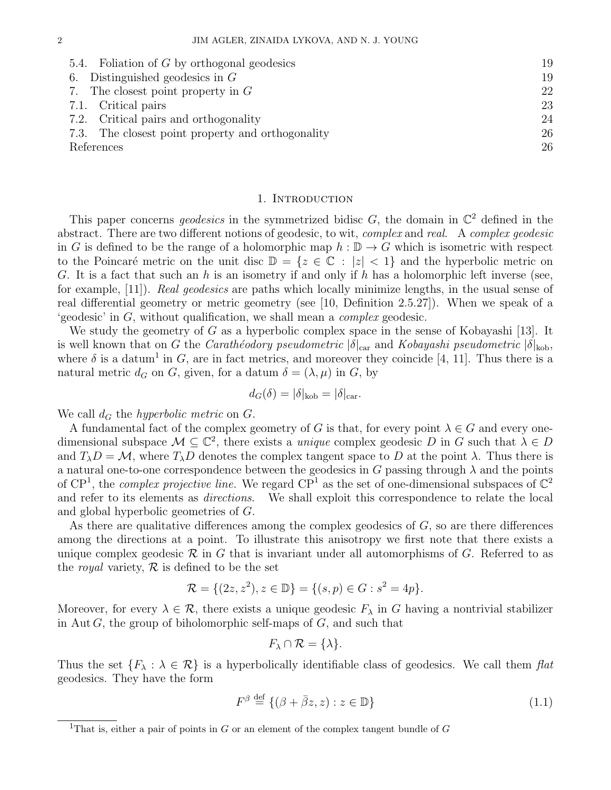| 5.4. Foliation of $G$ by orthogonal geodesics     | 19 |
|---------------------------------------------------|----|
| Distinguished geodesics in $G$<br>6.              | 19 |
| 7. The closest point property in $G$              | 22 |
| 7.1. Critical pairs                               | 23 |
| 7.2. Critical pairs and orthogonality             | 24 |
| 7.3. The closest point property and orthogonality | 26 |
| References                                        | 26 |
|                                                   |    |

#### 1. INTRODUCTION

This paper concerns *geodesics* in the symmetrized bidisc  $G$ , the domain in  $\mathbb{C}^2$  defined in the abstract. There are two different notions of geodesic, to wit, *complex* and *real.* A *complex geodesic* in G is defined to be the range of a holomorphic map  $h : \mathbb{D} \to G$  which is isometric with respect to the Poincaré metric on the unit disc  $\mathbb{D} = \{z \in \mathbb{C} : |z| < 1\}$  and the hyperbolic metric on G. It is a fact that such an h is an isometry if and only if h has a holomorphic left inverse (see, for example, [11]). Real geodesics are paths which locally minimize lengths, in the usual sense of real differential geometry or metric geometry (see [10, Definition 2.5.27]). When we speak of a 'geodesic' in G, without qualification, we shall mean a complex geodesic.

We study the geometry of G as a hyperbolic complex space in the sense of Kobayashi [13]. It is well known that on G the Carathéodory pseudometric  $|\delta|_{\text{car}}$  and Kobayashi pseudometric  $|\delta|_{\text{kob}}$ , where  $\delta$  is a datum<sup>1</sup> in G, are in fact metrics, and moreover they coincide [4, 11]. Thus there is a natural metric  $d_G$  on G, given, for a datum  $\delta = (\lambda, \mu)$  in G, by

$$
d_G(\delta) = |\delta|_{\text{kob}} = |\delta|_{\text{car}}.
$$

We call  $d_G$  the *hyperbolic metric* on  $G$ .

A fundamental fact of the complex geometry of G is that, for every point  $\lambda \in G$  and every onedimensional subspace  $\mathcal{M} \subseteq \mathbb{C}^2$ , there exists a *unique* complex geodesic D in G such that  $\lambda \in D$ and  $T_{\lambda}D = M$ , where  $T_{\lambda}D$  denotes the complex tangent space to D at the point  $\lambda$ . Thus there is a natural one-to-one correspondence between the geodesics in G passing through  $\lambda$  and the points of  $\mathbb{CP}^1$ , the *complex projective line*. We regard  $\mathbb{CP}^1$  as the set of one-dimensional subspaces of  $\mathbb{C}^2$ and refer to its elements as directions. We shall exploit this correspondence to relate the local and global hyperbolic geometries of G.

As there are qualitative differences among the complex geodesics of  $G$ , so are there differences among the directions at a point. To illustrate this anisotropy we first note that there exists a unique complex geodesic  $\mathcal R$  in G that is invariant under all automorphisms of G. Referred to as the *royal* variety,  $\mathcal{R}$  is defined to be the set

$$
\mathcal{R} = \{ (2z, z^2), z \in \mathbb{D} \} = \{ (s, p) \in G : s^2 = 4p \}.
$$

Moreover, for every  $\lambda \in \mathcal{R}$ , there exists a unique geodesic  $F_{\lambda}$  in G having a nontrivial stabilizer in Aut  $G$ , the group of biholomorphic self-maps of  $G$ , and such that

$$
F_{\lambda}\cap\mathcal{R}=\{\lambda\}.
$$

Thus the set  $\{F_\lambda : \lambda \in \mathcal{R}\}\$ is a hyperbolically identifiable class of geodesics. We call them  $flat$ geodesics. They have the form

$$
F^{\beta} \stackrel{\text{def}}{=} \{ (\beta + \bar{\beta}z, z) : z \in \mathbb{D} \}
$$
\n(1.1)

<sup>&</sup>lt;sup>1</sup>That is, either a pair of points in G or an element of the complex tangent bundle of G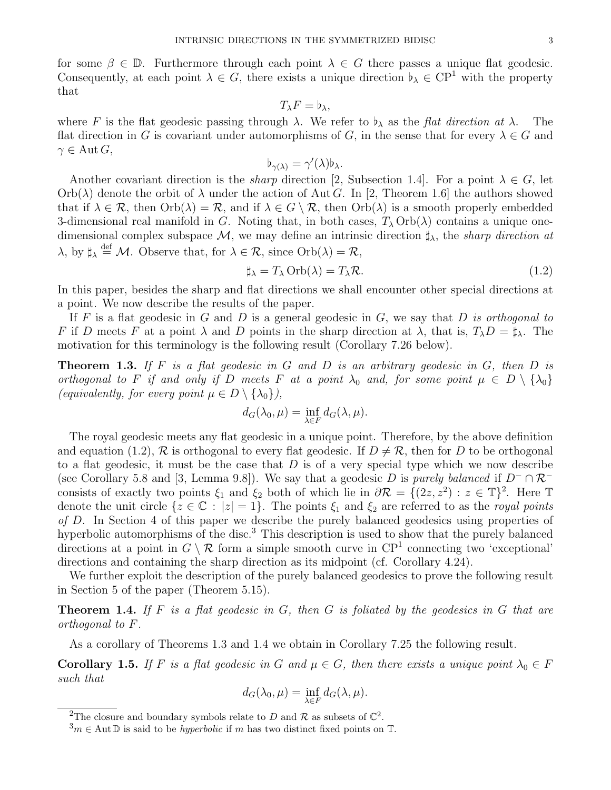for some  $\beta \in \mathbb{D}$ . Furthermore through each point  $\lambda \in G$  there passes a unique flat geodesic. Consequently, at each point  $\lambda \in G$ , there exists a unique direction  $\flat_{\lambda} \in CP^1$  with the property that

$$
T_{\lambda}F=\flat_{\lambda},
$$

where F is the flat geodesic passing through  $\lambda$ . We refer to  $\flat_{\lambda}$  as the flat direction at  $\lambda$ . The flat direction in G is covariant under automorphisms of G, in the sense that for every  $\lambda \in G$  and  $\gamma \in \mathrm{Aut}\,G,$ 

$$
\flat_{\gamma(\lambda)} = \gamma'(\lambda)\flat_{\lambda}.
$$

Another covariant direction is the *sharp* direction [2, Subsection 1.4]. For a point  $\lambda \in G$ , let  $Orb(\lambda)$  denote the orbit of  $\lambda$  under the action of Aut G. In [2, Theorem 1.6] the authors showed that if  $\lambda \in \mathcal{R}$ , then  $Orb(\lambda) = \mathcal{R}$ , and if  $\lambda \in G \setminus \mathcal{R}$ , then  $Orb(\lambda)$  is a smooth properly embedded 3-dimensional real manifold in G. Noting that, in both cases,  $T_{\lambda}$  Orb( $\lambda$ ) contains a unique onedimensional complex subspace  $\mathcal{M}$ , we may define an intrinsic direction  $\sharp_{\lambda}$ , the sharp direction at  $\lambda$ , by  $\sharp_{\lambda} \stackrel{\text{def}}{=} \mathcal{M}$ . Observe that, for  $\lambda \in \mathcal{R}$ , since  $\text{Orb}(\lambda) = \mathcal{R}$ ,

$$
\sharp_{\lambda} = T_{\lambda} \operatorname{Orb}(\lambda) = T_{\lambda} \mathcal{R}.\tag{1.2}
$$

In this paper, besides the sharp and flat directions we shall encounter other special directions at a point. We now describe the results of the paper.

If F is a flat geodesic in G and D is a general geodesic in  $G$ , we say that D is orthogonal to F if D meets F at a point  $\lambda$  and D points in the sharp direction at  $\lambda$ , that is,  $T_{\lambda}D = \sharp_{\lambda}$ . The motivation for this terminology is the following result (Corollary 7.26 below).

**Theorem 1.3.** If F is a flat geodesic in G and D is an arbitrary geodesic in G, then D is orthogonal to F if and only if D meets F at a point  $\lambda_0$  and, for some point  $\mu \in D \setminus {\lambda_0}$ (equivalently, for every point  $\mu \in D \setminus \{\lambda_0\}$ ),

$$
d_G(\lambda_0, \mu) = \inf_{\lambda \in F} d_G(\lambda, \mu).
$$

The royal geodesic meets any flat geodesic in a unique point. Therefore, by the above definition and equation (1.2),  $\mathcal R$  is orthogonal to every flat geodesic. If  $D \neq \mathcal R$ , then for D to be orthogonal to a flat geodesic, it must be the case that  $D$  is of a very special type which we now describe (see Corollary 5.8 and [3, Lemma 9.8]). We say that a geodesic D is purely balanced if  $D^- \cap \mathcal{R}^$ consists of exactly two points  $\xi_1$  and  $\xi_2$  both of which lie in  $\partial \mathcal{R} = \{(2z, z^2) : z \in \mathbb{T}\}^2$ . Here  $\mathbb T$ denote the unit circle  $\{z \in \mathbb{C} : |z| = 1\}$ . The points  $\xi_1$  and  $\xi_2$  are referred to as the *royal points* of D. In Section 4 of this paper we describe the purely balanced geodesics using properties of hyperbolic automorphisms of the disc.<sup>3</sup> This description is used to show that the purely balanced directions at a point in  $G \setminus \mathcal{R}$  form a simple smooth curve in  $\mathbb{CP}^1$  connecting two 'exceptional' directions and containing the sharp direction as its midpoint (cf. Corollary 4.24).

We further exploit the description of the purely balanced geodesics to prove the following result in Section 5 of the paper (Theorem 5.15).

**Theorem 1.4.** If F is a flat geodesic in G, then G is foliated by the geodesics in G that are orthogonal to F.

As a corollary of Theorems 1.3 and 1.4 we obtain in Corollary 7.25 the following result.

**Corollary 1.5.** If F is a flat geodesic in G and  $\mu \in G$ , then there exists a unique point  $\lambda_0 \in F$ such that

$$
d_G(\lambda_0, \mu) = \inf_{\lambda \in F} d_G(\lambda, \mu).
$$

<sup>&</sup>lt;sup>2</sup>The closure and boundary symbols relate to D and R as subsets of  $\mathbb{C}^2$ .

 $3m \in \text{Aut } \mathbb{D}$  is said to be *hyperbolic* if m has two distinct fixed points on  $\mathbb{T}$ .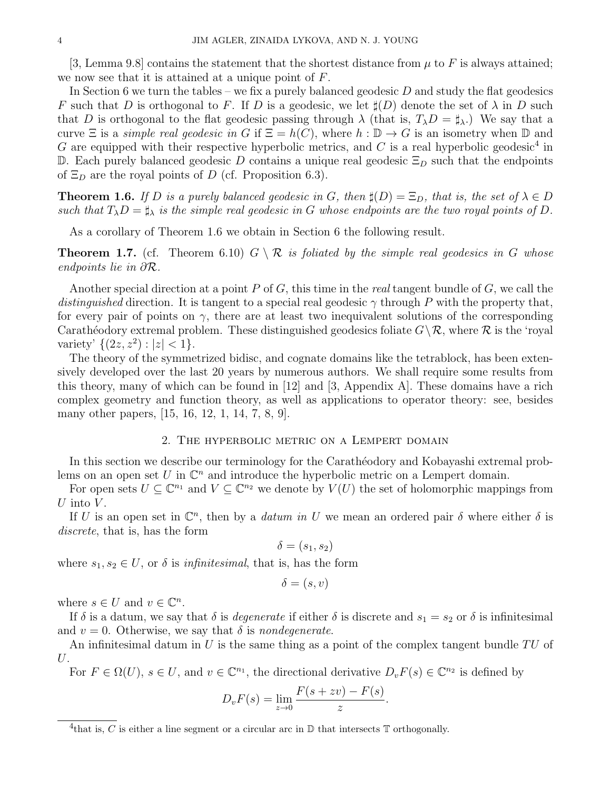[3, Lemma 9.8] contains the statement that the shortest distance from  $\mu$  to F is always attained; we now see that it is attained at a unique point of  $F$ .

In Section 6 we turn the tables – we fix a purely balanced geodesic  $D$  and study the flat geodesics F such that D is orthogonal to F. If D is a geodesic, we let  $\sharp(D)$  denote the set of  $\lambda$  in D such that D is orthogonal to the flat geodesic passing through  $\lambda$  (that is,  $T_{\lambda}D = \sharp_{\lambda}$ .) We say that a curve  $\Xi$  is a *simple real geodesic in* G if  $\Xi = h(C)$ , where  $h : \mathbb{D} \to G$  is an isometry when  $\mathbb D$  and G are equipped with their respective hyperbolic metrics, and C is a real hyperbolic geodesic<sup>4</sup> in D. Each purely balanced geodesic D contains a unique real geodesic  $\Xi_D$  such that the endpoints of  $\Xi_D$  are the royal points of D (cf. Proposition 6.3).

**Theorem 1.6.** If D is a purely balanced geodesic in G, then  $\sharp(D) = \Xi_D$ , that is, the set of  $\lambda \in D$ such that  $T_{\lambda}D = \sharp_{\lambda}$  is the simple real geodesic in G whose endpoints are the two royal points of D.

As a corollary of Theorem 1.6 we obtain in Section 6 the following result.

**Theorem 1.7.** (cf. Theorem 6.10)  $G \setminus \mathcal{R}$  is foliated by the simple real geodesics in G whose endpoints lie in ∂R.

Another special direction at a point P of G, this time in the real tangent bundle of G, we call the distinguished direction. It is tangent to a special real geodesic  $\gamma$  through P with the property that, for every pair of points on  $\gamma$ , there are at least two inequivalent solutions of the corresponding Carathéodory extremal problem. These distinguished geodesics foliate  $G\backslash \mathcal{R}$ , where  $\mathcal R$  is the 'royal variety'  $\{(2z, z^2) : |z| < 1\}.$ 

The theory of the symmetrized bidisc, and cognate domains like the tetrablock, has been extensively developed over the last 20 years by numerous authors. We shall require some results from this theory, many of which can be found in [12] and [3, Appendix A]. These domains have a rich complex geometry and function theory, as well as applications to operator theory: see, besides many other papers, [15, 16, 12, 1, 14, 7, 8, 9].

#### 2. The hyperbolic metric on a Lempert domain

In this section we describe our terminology for the Carathéodory and Kobayashi extremal problems on an open set U in  $\mathbb{C}^n$  and introduce the hyperbolic metric on a Lempert domain.

For open sets  $U \subseteq \mathbb{C}^{n_1}$  and  $V \subseteq \mathbb{C}^{n_2}$  we denote by  $V(U)$  the set of holomorphic mappings from U into  $V$ .

If U is an open set in  $\mathbb{C}^n$ , then by a *datum in U* we mean an ordered pair  $\delta$  where either  $\delta$  is discrete, that is, has the form

$$
\delta = (s_1, s_2)
$$

where  $s_1, s_2 \in U$ , or  $\delta$  is *infinitesimal*, that is, has the form

$$
\delta = (s, v)
$$

where  $s \in U$  and  $v \in \mathbb{C}^n$ .

If  $\delta$  is a datum, we say that  $\delta$  is *degenerate* if either  $\delta$  is discrete and  $s_1 = s_2$  or  $\delta$  is infinitesimal and  $v = 0$ . Otherwise, we say that  $\delta$  is *nondegenerate*.

An infinitesimal datum in U is the same thing as a point of the complex tangent bundle  $TU$  of  $U$ .

For  $F \in \Omega(U)$ ,  $s \in U$ , and  $v \in \mathbb{C}^{n_1}$ , the directional derivative  $D_v F(s) \in \mathbb{C}^{n_2}$  is defined by

$$
D_v F(s) = \lim_{z \to 0} \frac{F(s + zv) - F(s)}{z}.
$$

<sup>&</sup>lt;sup>4</sup>that is, C is either a line segment or a circular arc in  $\mathbb D$  that intersects  $\mathbb T$  orthogonally.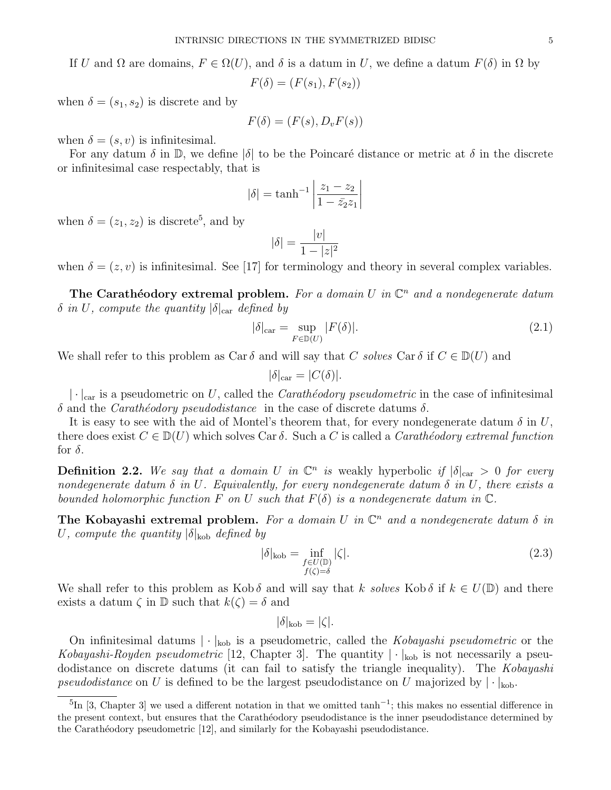$$
F(\delta) = (F(s_1), F(s_2))
$$

when  $\delta = (s_1, s_2)$  is discrete and by

$$
F(\delta) = (F(s), D_v F(s))
$$

when  $\delta = (s, v)$  is infinitesimal.

For any datum  $\delta$  in  $\mathbb{D}$ , we define  $|\delta|$  to be the Poincaré distance or metric at  $\delta$  in the discrete or infinitesimal case respectably, that is

$$
|\delta| = \tanh^{-1} \left| \frac{z_1 - z_2}{1 - \bar{z}_2 z_1} \right|
$$

when  $\delta = (z_1, z_2)$  is discrete<sup>5</sup>, and by

$$
|\delta| = \frac{|v|}{1 - |z|^2}
$$

when  $\delta = (z, v)$  is infinitesimal. See [17] for terminology and theory in several complex variables.

The Carathéodory extremal problem. For a domain U in  $\mathbb{C}^n$  and a nondegenerate datum  $\delta$  in U, compute the quantity  $|\delta|_{\text{car}}$  defined by

$$
|\delta|_{\text{car}} = \sup_{F \in \mathbb{D}(U)} |F(\delta)|. \tag{2.1}
$$

We shall refer to this problem as Car  $\delta$  and will say that C solves Car  $\delta$  if  $C \in D(U)$  and

$$
|\delta|_{\text{car}} = |C(\delta)|.
$$

 $|\cdot|_{\text{car}}$  is a pseudometric on U, called the Carathéodory pseudometric in the case of infinitesimal δ and the *Carath*<sup>ε</sup> *pseudodistance* in the case of discrete datums δ.

It is easy to see with the aid of Montel's theorem that, for every nondegenerate datum  $\delta$  in U, there does exist  $C \in D(U)$  which solves Car  $\delta$ . Such a C is called a *Carathéodory extremal function* for  $\delta$ .

**Definition 2.2.** We say that a domain U in  $\mathbb{C}^n$  is weakly hyperbolic if  $|\delta|_{\text{car}} > 0$  for every nondegenerate datum  $\delta$  in U. Equivalently, for every nondegenerate datum  $\delta$  in U, there exists a bounded holomorphic function F on U such that  $F(\delta)$  is a nondegenerate datum in  $\mathbb{C}$ .

The Kobayashi extremal problem. For a domain U in  $\mathbb{C}^n$  and a nondegenerate datum  $\delta$  in U, compute the quantity  $|\delta|_{\text{kob}}$  defined by

$$
|\delta|_{\text{kob}} = \inf_{\substack{f \in U(\mathbb{D}) \\ f(\zeta) = \delta}} |\zeta|.
$$
 (2.3)

We shall refer to this problem as Kob  $\delta$  and will say that k solves Kob  $\delta$  if  $k \in U(\mathbb{D})$  and there exists a datum  $\zeta$  in  $\mathbb D$  such that  $k(\zeta) = \delta$  and

$$
|\delta|_{\text{kob}} = |\zeta|.
$$

On infinitesimal datums  $|\cdot|_{\text{kob}}$  is a pseudometric, called the Kobayashi pseudometric or the Kobayashi-Royden pseudometric [12, Chapter 3]. The quantity  $|\cdot|_{\text{kob}}$  is not necessarily a pseudodistance on discrete datums (it can fail to satisfy the triangle inequality). The Kobayashi pseudodistance on U is defined to be the largest pseudodistance on U majorized by  $|\cdot|_{k_0}$ .

<sup>&</sup>lt;sup>5</sup>In [3, Chapter 3] we used a different notation in that we omitted tanh<sup>-1</sup>; this makes no essential difference in the present context, but ensures that the Carathéodory pseudodistance is the inner pseudodistance determined by the Carathéodory pseudometric [12], and similarly for the Kobayashi pseudodistance.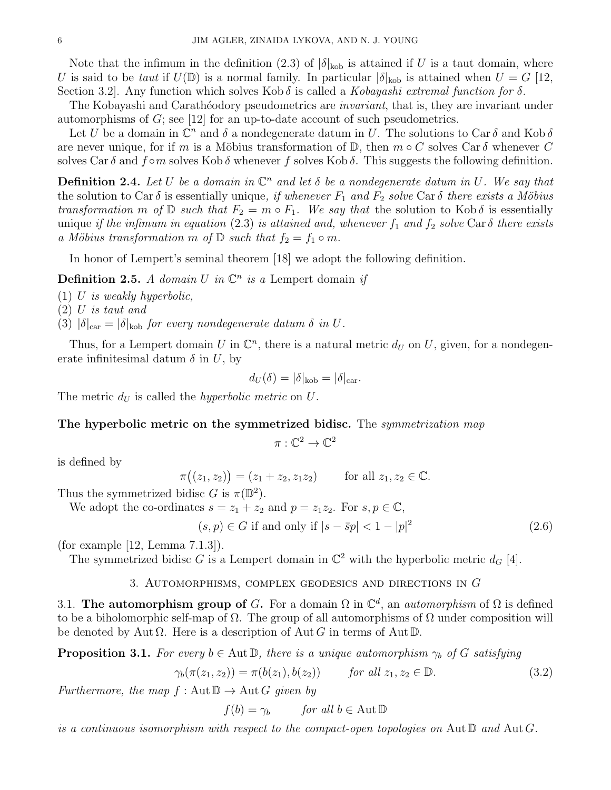Note that the infimum in the definition (2.3) of  $|\delta|_{\text{kob}}$  is attained if U is a taut domain, where U is said to be taut if  $U(\mathbb{D})$  is a normal family. In particular  $|\delta|_{\text{kob}}$  is attained when  $U = G$  [12, Section 3.2. Any function which solves Kob  $\delta$  is called a *Kobayashi extremal function for*  $\delta$ .

The Kobayashi and Carathéodory pseudometrics are *invariant*, that is, they are invariant under automorphisms of  $G$ ; see [12] for an up-to-date account of such pseudometrics.

Let U be a domain in  $\mathbb{C}^n$  and  $\delta$  a nondegenerate datum in U. The solutions to Car  $\delta$  and Kob  $\delta$ are never unique, for if m is a Möbius transformation of  $\mathbb{D}$ , then  $m \circ C$  solves Car  $\delta$  whenever C solves Car  $\delta$  and  $f \circ m$  solves Kob  $\delta$  whenever f solves Kob  $\delta$ . This suggests the following definition.

**Definition 2.4.** Let U be a domain in  $\mathbb{C}^n$  and let  $\delta$  be a nondegenerate datum in U. We say that the solution to Car  $\delta$  is essentially unique, if whenever  $F_1$  and  $F_2$  solve Car  $\delta$  there exists a Möbius transformation m of  $\mathbb D$  such that  $F_2 = m \circ F_1$ . We say that the solution to Kob  $\delta$  is essentially unique if the infimum in equation (2.3) is attained and, whenever  $f_1$  and  $f_2$  solve Car  $\delta$  there exists a Möbius transformation m of  $\mathbb D$  such that  $f_2 = f_1 \circ m$ .

In honor of Lempert's seminal theorem [18] we adopt the following definition.

**Definition 2.5.** A domain U in  $\mathbb{C}^n$  is a Lempert domain if

 $(1)$  U is weakly hyperbolic,

(2) U is taut and

(3)  $|\delta|_{\text{car}} = |\delta|_{\text{kob}}$  for every nondegenerate datum  $\delta$  in U.

Thus, for a Lempert domain U in  $\mathbb{C}^n$ , there is a natural metric  $d_U$  on U, given, for a nondegenerate infinitesimal datum  $\delta$  in U, by

$$
d_U(\delta) = |\delta|_{\text{kob}} = |\delta|_{\text{car}}.
$$

The metric  $d_U$  is called the *hyperbolic metric* on U.

## The hyperbolic metric on the symmetrized bidisc. The symmetrization map

$$
\pi:\mathbb{C}^2\to\mathbb{C}^2
$$

is defined by

 $\pi((z_1, z_2)) = (z_1 + z_2, z_1 z_2)$  for all  $z_1, z_2 \in \mathbb{C}$ .

Thus the symmetrized bidisc G is  $\pi(\mathbb{D}^2)$ .

We adopt the co-ordinates  $s = z_1 + z_2$  and  $p = z_1z_2$ . For  $s, p \in \mathbb{C}$ ,

$$
(s, p) \in G \text{ if and only if } |s - \bar{s}p| < 1 - |p|^2 \tag{2.6}
$$

(for example [12, Lemma 7.1.3]).

The symmetrized bidisc G is a Lempert domain in  $\mathbb{C}^2$  with the hyperbolic metric  $d_G$  [4].

## 3. Automorphisms, complex geodesics and directions in G

3.1. The automorphism group of G. For a domain  $\Omega$  in  $\mathbb{C}^d$ , an *automorphism* of  $\Omega$  is defined to be a biholomorphic self-map of  $\Omega$ . The group of all automorphisms of  $\Omega$  under composition will be denoted by Aut  $\Omega$ . Here is a description of Aut G in terms of Aut D.

**Proposition 3.1.** For every  $b \in \text{Aut} \mathbb{D}$ , there is a unique automorphism  $\gamma_b$  of G satisfying

$$
\gamma_b(\pi(z_1, z_2)) = \pi(b(z_1), b(z_2)) \qquad \text{for all } z_1, z_2 \in \mathbb{D}.
$$
 (3.2)

Furthermore, the map  $f : \text{Aut } \mathbb{D} \to \text{Aut } G$  given by

 $f(b) = \gamma_b$  for all  $b \in \text{Aut } \mathbb{D}$ 

is a continuous isomorphism with respect to the compact-open topologies on Aut  $\mathbb D$  and Aut  $G$ .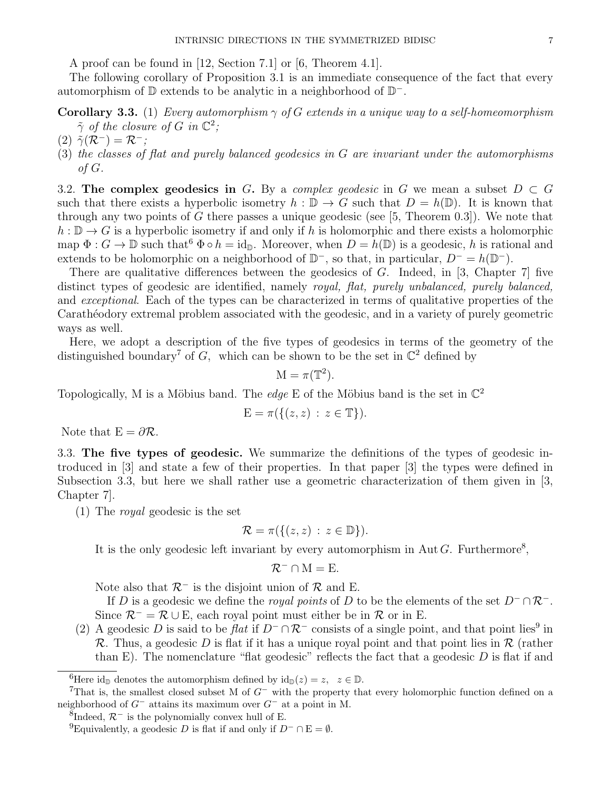A proof can be found in [12, Section 7.1] or [6, Theorem 4.1].

The following corollary of Proposition 3.1 is an immediate consequence of the fact that every automorphism of  $\mathbb D$  extends to be analytic in a neighborhood of  $\mathbb D^-$ .

# **Corollary 3.3.** (1) Every automorphism  $\gamma$  of G extends in a unique way to a self-homeomorphism  $\tilde{\gamma}$  of the closure of G in  $\mathbb{C}^2$ ;

- $(2) \tilde{\gamma}(\mathcal{R}^-) = \mathcal{R}^-;$
- (3) the classes of flat and purely balanced geodesics in G are invariant under the automorphisms of G.

3.2. The complex geodesics in G. By a complex geodesic in G we mean a subset  $D \subset G$ such that there exists a hyperbolic isometry  $h : \mathbb{D} \to G$  such that  $D = h(\mathbb{D})$ . It is known that through any two points of G there passes a unique geodesic (see  $[5,$  Theorem 0.3]). We note that  $h : \mathbb{D} \to G$  is a hyperbolic isometry if and only if h is holomorphic and there exists a holomorphic map  $\Phi: G \to \mathbb{D}$  such that  $\Phi \circ h = \text{id}_{\mathbb{D}}$ . Moreover, when  $D = h(\mathbb{D})$  is a geodesic, h is rational and extends to be holomorphic on a neighborhood of  $\mathbb{D}^-$ , so that, in particular,  $D^- = h(\mathbb{D}^-)$ .

There are qualitative differences between the geodesics of  $G$ . Indeed, in [3, Chapter 7] five distinct types of geodesic are identified, namely royal, flat, purely unbalanced, purely balanced, and exceptional. Each of the types can be characterized in terms of qualitative properties of the Carathéodory extremal problem associated with the geodesic, and in a variety of purely geometric ways as well.

Here, we adopt a description of the five types of geodesics in terms of the geometry of the distinguished boundary<sup>7</sup> of G, which can be shown to be the set in  $\mathbb{C}^2$  defined by

 $M = \pi(\mathbb{T}^2).$ 

Topologically, M is a Möbius band. The *edge* E of the Möbius band is the set in  $\mathbb{C}^2$ 

$$
E = \pi(\{(z, z) : z \in \mathbb{T}\}).
$$

Note that  $E = \partial \mathcal{R}$ .

3.3. The five types of geodesic. We summarize the definitions of the types of geodesic introduced in [3] and state a few of their properties. In that paper [3] the types were defined in Subsection 3.3, but here we shall rather use a geometric characterization of them given in [3, Chapter 7].

(1) The royal geodesic is the set

$$
\mathcal{R} = \pi(\{(z, z) : z \in \mathbb{D}\}).
$$

It is the only geodesic left invariant by every automorphism in Aut  $G$ . Furthermore<sup>8</sup>,

$$
\mathcal{R}^- \cap M = E.
$$

Note also that  $\mathcal{R}^-$  is the disjoint union of  $\mathcal R$  and E.

If D is a geodesic we define the *royal points* of D to be the elements of the set  $D^{-} \cap \mathcal{R}^{-}$ . Since  $\mathcal{R}^- = \mathcal{R} \cup E$ , each royal point must either be in  $\mathcal{R}$  or in E.

(2) A geodesic D is said to be flat if  $D^- \cap \mathcal{R}^-$  consists of a single point, and that point lies<sup>9</sup> in R. Thus, a geodesic D is flat if it has a unique royal point and that point lies in R (rather than E). The nomenclature "flat geodesic" reflects the fact that a geodesic  $D$  is flat if and

<sup>&</sup>lt;sup>6</sup>Here id<sub>D</sub> denotes the automorphism defined by  $id_D(z) = z$ ,  $z \in D$ .

<sup>&</sup>lt;sup>7</sup>That is, the smallest closed subset M of  $G^-$  with the property that every holomorphic function defined on a neighborhood of G<sup>−</sup> attains its maximum over G<sup>−</sup> at a point in M.

<sup>&</sup>lt;sup>8</sup>Indeed,  $\mathcal{R}^-$  is the polynomially convex hull of E.

<sup>&</sup>lt;sup>9</sup>Equivalently, a geodesic D is flat if and only if  $D^- \cap E = \emptyset$ .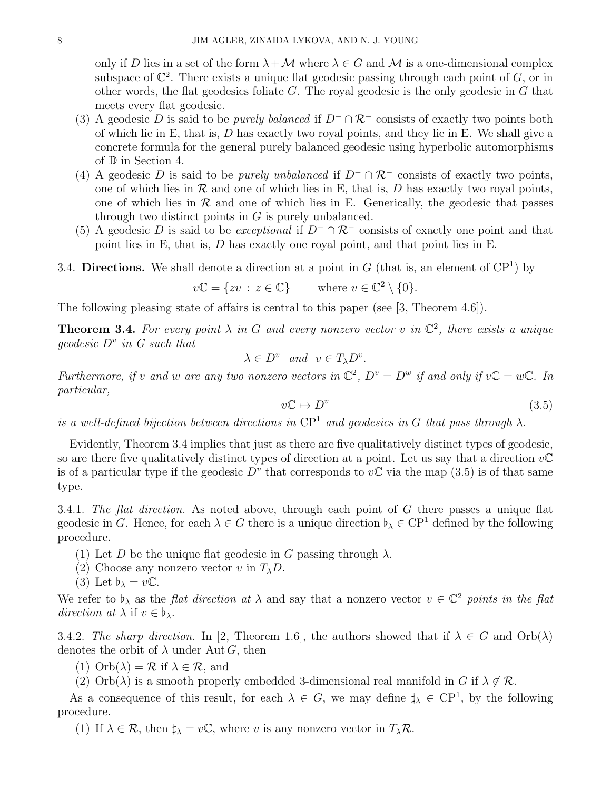only if D lies in a set of the form  $\lambda + \mathcal{M}$  where  $\lambda \in G$  and M is a one-dimensional complex subspace of  $\mathbb{C}^2$ . There exists a unique flat geodesic passing through each point of G, or in other words, the flat geodesics foliate  $G$ . The royal geodesic is the only geodesic in  $G$  that meets every flat geodesic.

- (3) A geodesic D is said to be *purely balanced* if  $D^-\cap \mathcal{R}^-$  consists of exactly two points both of which lie in E, that is,  $D$  has exactly two royal points, and they lie in E. We shall give a concrete formula for the general purely balanced geodesic using hyperbolic automorphisms of D in Section 4.
- (4) A geodesic D is said to be *purely unbalanced* if  $D^- \cap \mathcal{R}^-$  consists of exactly two points, one of which lies in  $R$  and one of which lies in E, that is, D has exactly two royal points, one of which lies in  $\mathcal R$  and one of which lies in E. Generically, the geodesic that passes through two distinct points in  $G$  is purely unbalanced.
- (5) A geodesic D is said to be *exceptional* if  $D^-\cap \mathcal{R}^-$  consists of exactly one point and that point lies in E, that is, D has exactly one royal point, and that point lies in E.

3.4. Directions. We shall denote a direction at a point in  $G$  (that is, an element of  $\mathbb{C}\mathbb{P}^1$ ) by

$$
v\mathbb{C} = \{ zv : z \in \mathbb{C} \} \qquad \text{where } v \in \mathbb{C}^2 \setminus \{0\}.
$$

The following pleasing state of affairs is central to this paper (see [3, Theorem 4.6]).

**Theorem 3.4.** For every point  $\lambda$  in G and every nonzero vector v in  $\mathbb{C}^2$ , there exists a unique geodesic  $D^v$  in G such that

$$
\lambda \in D^v \quad and \quad v \in T_{\lambda}D^v.
$$

Furthermore, if v and w are any two nonzero vectors in  $\mathbb{C}^2$ ,  $D^v = D^w$  if and only if  $v\mathbb{C} = w\mathbb{C}$ . In particular,

> $v\mathbb{C} \mapsto D^v$ (3.5)

is a well-defined bijection between directions in  $\mathbb{CP}^1$  and geodesics in G that pass through  $\lambda$ .

Evidently, Theorem 3.4 implies that just as there are five qualitatively distinct types of geodesic, so are there five qualitatively distinct types of direction at a point. Let us say that a direction  $v\mathbb{C}$ is of a particular type if the geodesic  $D^v$  that corresponds to  $v\mathbb{C}$  via the map (3.5) is of that same type.

3.4.1. The flat direction. As noted above, through each point of G there passes a unique flat geodesic in G. Hence, for each  $\lambda \in G$  there is a unique direction  $\flat_{\lambda} \in \mathbb{C}P^1$  defined by the following procedure.

- (1) Let D be the unique flat geodesic in G passing through  $\lambda$ .
- (2) Choose any nonzero vector v in  $T_{\lambda}D$ .
- (3) Let  $b_{\lambda} = v\mathbb{C}$ .

We refer to  $\flat_\lambda$  as the *flat direction at*  $\lambda$  and say that a nonzero vector  $v \in \mathbb{C}^2$  points in the *flat* direction at  $\lambda$  if  $v \in \flat_{\lambda}$ .

3.4.2. The sharp direction. In [2, Theorem 1.6], the authors showed that if  $\lambda \in G$  and  $Orb(\lambda)$ denotes the orbit of  $\lambda$  under Aut G, then

- (1)  $Orb(\lambda) = \mathcal{R}$  if  $\lambda \in \mathcal{R}$ , and
- (2)  $Orb(\lambda)$  is a smooth properly embedded 3-dimensional real manifold in G if  $\lambda \notin \mathcal{R}$ .

As a consequence of this result, for each  $\lambda \in G$ , we may define  $\sharp_{\lambda} \in \mathbb{C}P^1$ , by the following procedure.

(1) If  $\lambda \in \mathcal{R}$ , then  $\sharp_{\lambda} = v \mathbb{C}$ , where v is any nonzero vector in  $T_{\lambda} \mathcal{R}$ .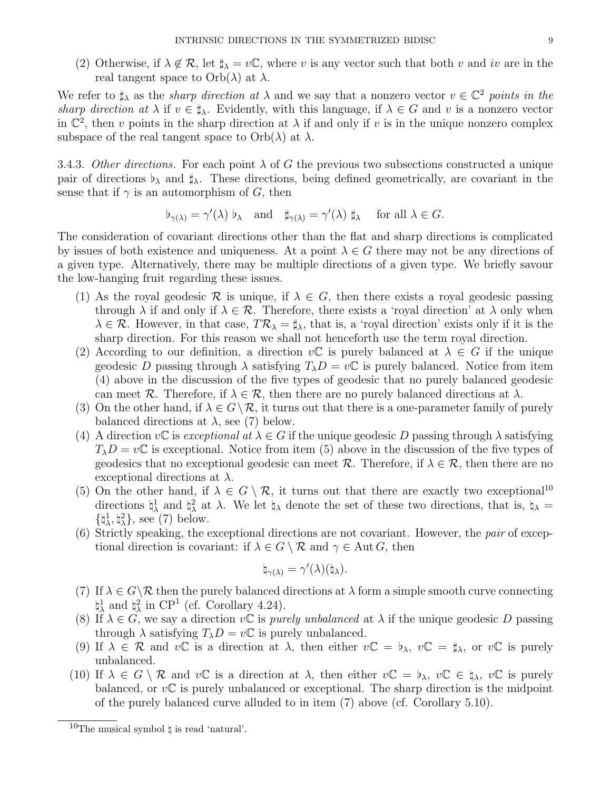(2) Otherwise, if  $\lambda \notin \mathcal{R}$ , let  $\sharp_{\lambda} = v\mathbb{C}$ , where v is any vector such that both v and iv are in the real tangent space to  $Orb(\lambda)$  at  $\lambda$ .

We refer to  $\sharp_{\lambda}$  as the *sharp direction at*  $\lambda$  and we say that a nonzero vector  $v \in \mathbb{C}^2$  points in the sharp direction at  $\lambda$  if  $v \in \sharp_{\lambda}$ . Evidently, with this language, if  $\lambda \in G$  and v is a nonzero vector in  $\mathbb{C}^2$ , then v points in the sharp direction at  $\lambda$  if and only if v is in the unique nonzero complex subspace of the real tangent space to  $Orb(\lambda)$  at  $\lambda$ .

3.4.3. Other directions. For each point  $\lambda$  of G the previous two subsections constructed a unique pair of directions  $\flat_\lambda$  and  $\sharp_\lambda$ . These directions, being defined geometrically, are covariant in the sense that if  $\gamma$  is an automorphism of G, then

$$
\flat_{\gamma(\lambda)} = \gamma'(\lambda) \flat_{\lambda}
$$
 and  $\sharp_{\gamma(\lambda)} = \gamma'(\lambda) \sharp_{\lambda}$  for all  $\lambda \in G$ .

The consideration of covariant directions other than the flat and sharp directions is complicated by issues of both existence and uniqueness. At a point  $\lambda \in G$  there may not be any directions of a given type. Alternatively, there may be multiple directions of a given type. We briefly savour the low-hanging fruit regarding these issues.

- (1) As the royal geodesic R is unique, if  $\lambda \in G$ , then there exists a royal geodesic passing through  $\lambda$  if and only if  $\lambda \in \mathcal{R}$ . Therefore, there exists a 'royal direction' at  $\lambda$  only when  $\lambda \in \mathcal{R}$ . However, in that case,  $T\mathcal{R}_{\lambda} = \sharp_{\lambda}$ , that is, a 'royal direction' exists only if it is the sharp direction. For this reason we shall not henceforth use the term royal direction.
- (2) According to our definition, a direction  $v\mathbb{C}$  is purely balanced at  $\lambda \in G$  if the unique geodesic D passing through  $\lambda$  satisfying  $T_{\lambda}D = v\mathbb{C}$  is purely balanced. Notice from item (4) above in the discussion of the five types of geodesic that no purely balanced geodesic can meet R. Therefore, if  $\lambda \in \mathcal{R}$ , then there are no purely balanced directions at  $\lambda$ .
- (3) On the other hand, if  $\lambda \in G \backslash \mathcal{R}$ , it turns out that there is a one-parameter family of purely balanced directions at  $\lambda$ , see (7) below.
- (4) A direction vC is exceptional at  $\lambda \in G$  if the unique geodesic D passing through  $\lambda$  satisfying  $T_{\lambda}D = v\mathbb{C}$  is exceptional. Notice from item (5) above in the discussion of the five types of geodesics that no exceptional geodesic can meet  $\mathcal{R}$ . Therefore, if  $\lambda \in \mathcal{R}$ , then there are no exceptional directions at  $\lambda$ .
- (5) On the other hand, if  $\lambda \in G \setminus \mathcal{R}$ , it turns out that there are exactly two exceptional<sup>10</sup> directions  $\natural^1_\lambda$  and  $\natural^2_\lambda$  at  $\lambda$ . We let  $\natural_\lambda$  denote the set of these two directions, that is,  $\natural_\lambda =$  ${\{\natural^1_\lambda, \natural^2_\lambda\}}$ , see (7) below.
- (6) Strictly speaking, the exceptional directions are not covariant. However, the pair of exceptional direction is covariant: if  $\lambda \in G \setminus \mathcal{R}$  and  $\gamma \in \text{Aut } G$ , then

$$
\natural_{\gamma(\lambda)} = \gamma'(\lambda)(\natural_{\lambda}).
$$

- (7) If  $\lambda \in G \backslash \mathcal{R}$  then the purely balanced directions at  $\lambda$  form a simple smooth curve connecting  $\natural^1_\lambda$  and  $\natural^2_\lambda$  in CP<sup>1</sup> (cf. Corollary 4.24).
- (8) If  $\lambda \in G$ , we say a direction vC is *purely unbalanced* at  $\lambda$  if the unique geodesic D passing through  $\lambda$  satisfying  $T_{\lambda}D = v\mathbb{C}$  is purely unbalanced.
- (9) If  $\lambda \in \mathcal{R}$  and  $v\mathbb{C}$  is a direction at  $\lambda$ , then either  $v\mathbb{C} = \mathfrak{b}_{\lambda}, v\mathbb{C} = \mathfrak{f}_{\lambda}$ , or  $v\mathbb{C}$  is purely unbalanced.
- (10) If  $\lambda \in G \setminus \mathcal{R}$  and  $v\mathbb{C}$  is a direction at  $\lambda$ , then either  $v\mathbb{C} = \flat_{\lambda}, v\mathbb{C} \in \natural_{\lambda}, v\mathbb{C}$  is purely balanced, or  $v\mathbb{C}$  is purely unbalanced or exceptional. The sharp direction is the midpoint of the purely balanced curve alluded to in item (7) above (cf. Corollary 5.10).

<sup>&</sup>lt;sup>10</sup>The musical symbol  $\natural$  is read 'natural'.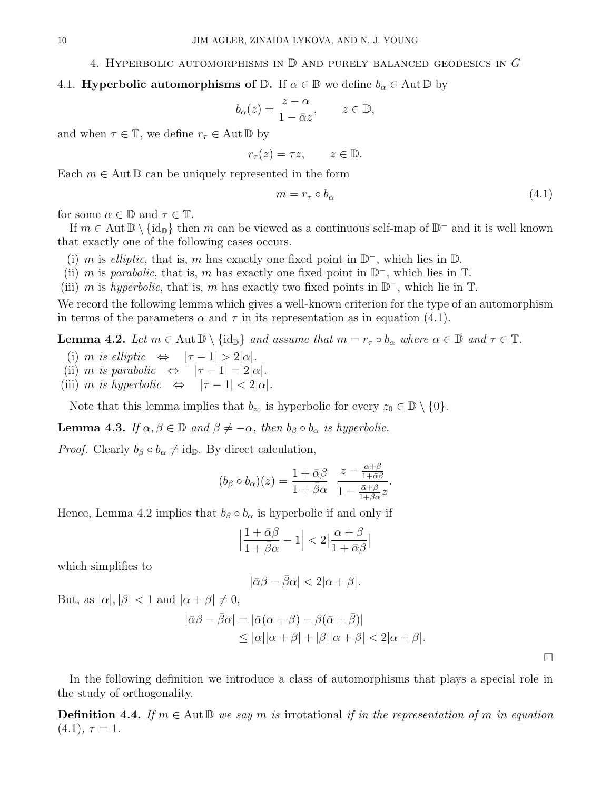#### 4. HYPERBOLIC AUTOMORPHISMS IN  $\mathbb D$  and purely balanced geodesics in G

## 4.1. **Hyperbolic automorphisms of D.** If  $\alpha \in \mathbb{D}$  we define  $b_{\alpha} \in \text{Aut } \mathbb{D}$  by

$$
b_{\alpha}(z) = \frac{z - \alpha}{1 - \bar{\alpha}z}, \qquad z \in \mathbb{D},
$$

and when  $\tau \in \mathbb{T}$ , we define  $r_{\tau} \in \text{Aut } \mathbb{D}$  by

$$
r_{\tau}(z) = \tau z, \qquad z \in \mathbb{D}.
$$

Each  $m \in \text{Aut} \mathbb{D}$  can be uniquely represented in the form

$$
m = r_{\tau} \circ b_{\alpha} \tag{4.1}
$$

for some  $\alpha \in \mathbb{D}$  and  $\tau \in \mathbb{T}$ .

If  $m \in \text{Aut } \mathbb{D} \setminus {\text{id}_{\mathbb{D}}}$  then m can be viewed as a continuous self-map of  $\mathbb{D}^-$  and it is well known that exactly one of the following cases occurs.

- (i) m is elliptic, that is, m has exactly one fixed point in  $\mathbb{D}^-$ , which lies in  $\mathbb{D}$ .
- (ii) m is parabolic, that is, m has exactly one fixed point in  $\mathbb{D}^-$ , which lies in  $\mathbb{T}$ .

(iii) m is hyperbolic, that is, m has exactly two fixed points in  $\mathbb{D}^-$ , which lie in  $\mathbb{T}$ .

We record the following lemma which gives a well-known criterion for the type of an automorphism in terms of the parameters  $\alpha$  and  $\tau$  in its representation as in equation (4.1).

**Lemma 4.2.** Let  $m \in \text{Aut } \mathbb{D} \setminus \{ \text{id}_{\mathbb{D}} \}$  and assume that  $m = r_{\tau} \circ b_{\alpha}$  where  $\alpha \in \mathbb{D}$  and  $\tau \in \mathbb{T}$ .

- (i) m is elliptic  $\Leftrightarrow |\tau 1| > 2|\alpha|$ .
- (ii) m is parabolic  $\Leftrightarrow$   $|\tau 1| = 2|\alpha|$ .
- (iii) m is hyperbolic  $\Leftrightarrow |\tau 1| < 2|\alpha|$ .

Note that this lemma implies that  $b_{z_0}$  is hyperbolic for every  $z_0 \in \mathbb{D} \setminus \{0\}.$ 

**Lemma 4.3.** If  $\alpha, \beta \in \mathbb{D}$  and  $\beta \neq -\alpha$ , then  $b_{\beta} \circ b_{\alpha}$  is hyperbolic.

*Proof.* Clearly  $b_{\beta} \circ b_{\alpha} \neq id_{\mathbb{D}}$ . By direct calculation,

$$
(b_{\beta} \circ b_{\alpha})(z) = \frac{1 + \bar{\alpha}\beta}{1 + \bar{\beta}\alpha} \frac{z - \frac{\alpha + \beta}{1 + \bar{\alpha}\beta}}{1 - \frac{\bar{\alpha} + \bar{\beta}}{1 + \bar{\beta}\alpha}z}.
$$

Hence, Lemma 4.2 implies that  $b_{\beta} \circ b_{\alpha}$  is hyperbolic if and only if

$$
\left|\frac{1+\bar{\alpha}\beta}{1+\bar{\beta}\alpha}-1\right|<2\left|\frac{\alpha+\beta}{1+\bar{\alpha}\beta}\right|
$$

which simplifies to

$$
|\bar{\alpha}\beta - \bar{\beta}\alpha| < 2|\alpha + \beta|.
$$

But, as  $|\alpha|, |\beta| < 1$  and  $|\alpha + \beta| \neq 0$ ,

$$
|\bar{\alpha}\beta - \bar{\beta}\alpha| = |\bar{\alpha}(\alpha + \beta) - \beta(\bar{\alpha} + \bar{\beta})|
$$
  
\n
$$
\leq |\alpha||\alpha + \beta| + |\beta||\alpha + \beta| < 2|\alpha + \beta|.
$$

 $\Box$ 

In the following definition we introduce a class of automorphisms that plays a special role in the study of orthogonality.

**Definition 4.4.** If  $m \in \text{Aut} \mathbb{D}$  we say m is irrotational if in the representation of m in equation  $(4.1), \tau = 1.$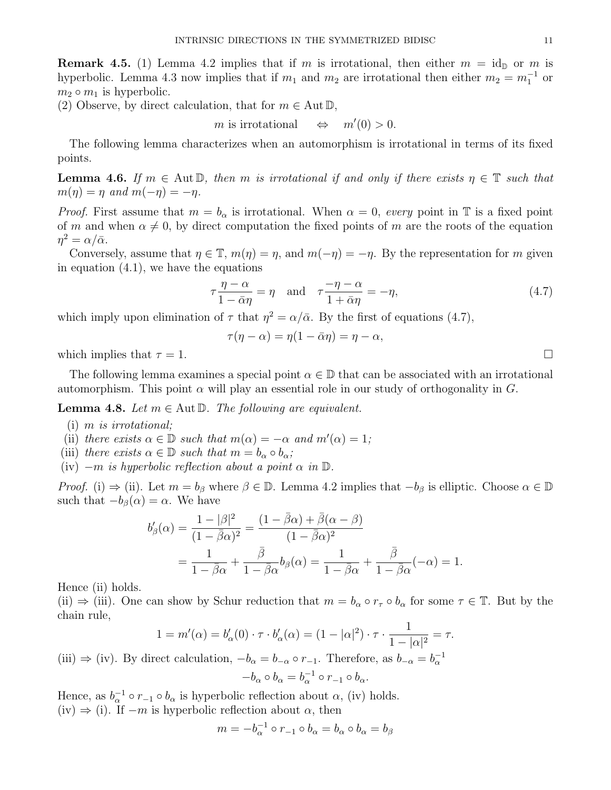**Remark 4.5.** (1) Lemma 4.2 implies that if m is irrotational, then either  $m = id_{\mathbb{D}}$  or m is hyperbolic. Lemma 4.3 now implies that if  $m_1$  and  $m_2$  are irrotational then either  $m_2 = m_1^{-1}$  or  $m_2 \circ m_1$  is hyperbolic.

(2) Observe, by direct calculation, that for  $m \in \text{Aut } \mathbb{D}$ ,

$$
m
$$
 is irrotational  $\Leftrightarrow m'(0) > 0.$ 

The following lemma characterizes when an automorphism is irrotational in terms of its fixed points.

**Lemma 4.6.** If  $m \in \text{Aut} \mathbb{D}$ , then m is irrotational if and only if there exists  $\eta \in \mathbb{T}$  such that  $m(\eta) = \eta$  and  $m(-\eta) = -\eta$ .

*Proof.* First assume that  $m = b_{\alpha}$  is irrotational. When  $\alpha = 0$ , every point in T is a fixed point of m and when  $\alpha \neq 0$ , by direct computation the fixed points of m are the roots of the equation  $\eta^2 = \alpha/\bar{\alpha}.$ 

Conversely, assume that  $\eta \in \mathbb{T}$ ,  $m(\eta) = \eta$ , and  $m(-\eta) = -\eta$ . By the representation for m given in equation (4.1), we have the equations

$$
\tau \frac{\eta - \alpha}{1 - \bar{\alpha}\eta} = \eta \quad \text{and} \quad \tau \frac{-\eta - \alpha}{1 + \bar{\alpha}\eta} = -\eta,\tag{4.7}
$$

which imply upon elimination of  $\tau$  that  $\eta^2 = \alpha/\bar{\alpha}$ . By the first of equations (4.7),

$$
\tau(\eta - \alpha) = \eta(1 - \bar{\alpha}\eta) = \eta - \alpha,
$$

which implies that  $\tau = 1$ .

The following lemma examines a special point  $\alpha \in \mathbb{D}$  that can be associated with an irrotational automorphism. This point  $\alpha$  will play an essential role in our study of orthogonality in  $G$ .

**Lemma 4.8.** Let  $m \in \text{Aut } \mathbb{D}$ . The following are equivalent.

- (i) m is irrotational;
- (ii) there exists  $\alpha \in \mathbb{D}$  such that  $m(\alpha) = -\alpha$  and  $m'(\alpha) = 1$ ;
- (iii) there exists  $\alpha \in \mathbb{D}$  such that  $m = b_{\alpha} \circ b_{\alpha}$ ;
- (iv)  $-m$  is hyperbolic reflection about a point  $\alpha$  in  $\mathbb{D}$ .

*Proof.* (i)  $\Rightarrow$  (ii). Let  $m = b_\beta$  where  $\beta \in \mathbb{D}$ . Lemma 4.2 implies that  $-b_\beta$  is elliptic. Choose  $\alpha \in \mathbb{D}$ such that  $-b_{\beta}(\alpha) = \alpha$ . We have

$$
b'_{\beta}(\alpha) = \frac{1 - |\beta|^2}{(1 - \bar{\beta}\alpha)^2} = \frac{(1 - \bar{\beta}\alpha) + \bar{\beta}(\alpha - \beta)}{(1 - \bar{\beta}\alpha)^2}
$$
  
= 
$$
\frac{1}{1 - \bar{\beta}\alpha} + \frac{\bar{\beta}}{1 - \bar{\beta}\alpha}b_{\beta}(\alpha) = \frac{1}{1 - \bar{\beta}\alpha} + \frac{\bar{\beta}}{1 - \bar{\beta}\alpha}(-\alpha) = 1.
$$

Hence (ii) holds.

(ii)  $\Rightarrow$  (iii). One can show by Schur reduction that  $m = b_{\alpha} \circ r_{\tau} \circ b_{\alpha}$  for some  $\tau \in \mathbb{T}$ . But by the chain rule,

$$
1 = m'(\alpha) = b'_{\alpha}(0) \cdot \tau \cdot b'_{\alpha}(\alpha) = (1 - |\alpha|^2) \cdot \tau \cdot \frac{1}{1 - |\alpha|^2} = \tau.
$$

(iii)  $\Rightarrow$  (iv). By direct calculation,  $-b_{\alpha} = b_{-\alpha} \circ r_{-1}$ . Therefore, as  $b_{-\alpha} = b_{\alpha}^{-1}$  $-b_{\alpha} \circ b_{\alpha} = b_{\alpha}^{-1} \circ r_{-1} \circ b_{\alpha}.$ 

Hence, as  $b_{\alpha}^{-1} \circ r_{-1} \circ b_{\alpha}$  is hyperbolic reflection about  $\alpha$ , (iv) holds. (iv)  $\Rightarrow$  (i). If  $-m$  is hyperbolic reflection about  $\alpha$ , then

$$
m = -b_{\alpha}^{-1} \circ r_{-1} \circ b_{\alpha} = b_{\alpha} \circ b_{\alpha} = b_{\beta}
$$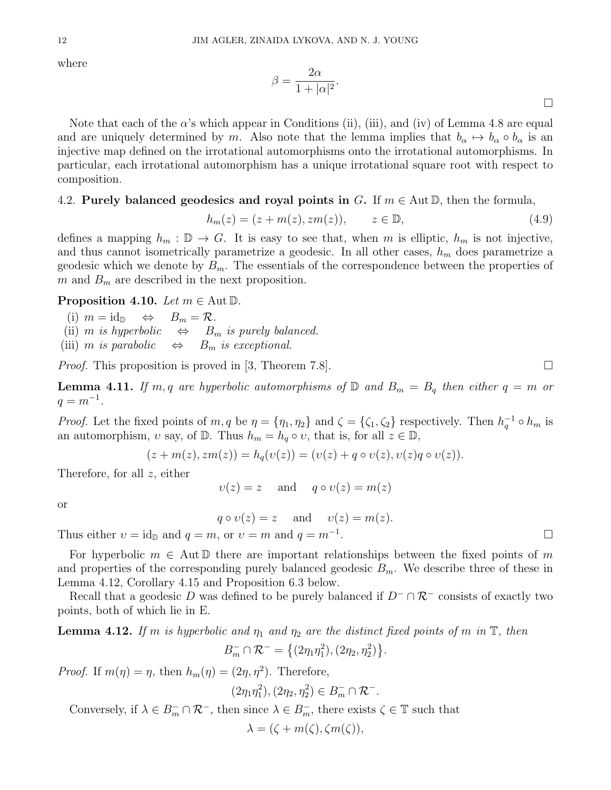where

$$
\beta = \frac{2\alpha}{1 + |\alpha|^2}.
$$

Note that each of the  $\alpha$ 's which appear in Conditions (ii), (iii), and (iv) of Lemma 4.8 are equal and are uniquely determined by m. Also note that the lemma implies that  $b_{\alpha} \mapsto b_{\alpha} \circ b_{\alpha}$  is an injective map defined on the irrotational automorphisms onto the irrotational automorphisms. In particular, each irrotational automorphism has a unique irrotational square root with respect to composition.

## 4.2. Purely balanced geodesics and royal points in G. If  $m \in \text{Aut} \mathbb{D}$ , then the formula,

$$
h_m(z) = (z + m(z), zm(z)), \qquad z \in \mathbb{D}, \tag{4.9}
$$

defines a mapping  $h_m : \mathbb{D} \to G$ . It is easy to see that, when m is elliptic,  $h_m$  is not injective, and thus cannot isometrically parametrize a geodesic. In all other cases,  $h_m$  does parametrize a geodesic which we denote by  $B_m$ . The essentials of the correspondence between the properties of m and  $B<sub>m</sub>$  are described in the next proposition.

#### **Proposition 4.10.** Let  $m \in \text{Aut } \mathbb{D}$ .

(i)  $m = id_{\mathbb{D}} \Leftrightarrow B_m = \mathcal{R}.$ (ii) m is hyperbolic  $\Leftrightarrow$   $B_m$  is purely balanced. (iii) m is parabolic  $\Leftrightarrow$   $B_m$  is exceptional.

*Proof.* This proposition is proved in [3, Theorem 7.8].

**Lemma 4.11.** If m, q are hyperbolic automorphisms of  $\mathbb{D}$  and  $B_m = B_q$  then either  $q = m$  or  $q = m^{-1}$ .

*Proof.* Let the fixed points of  $m, q$  be  $\eta = \{\eta_1, \eta_2\}$  and  $\zeta = \{\zeta_1, \zeta_2\}$  respectively. Then  $h_q^{-1} \circ h_m$  is an automorphism,  $v$  say, of  $\mathbb{D}$ . Thus  $h_m = h_q \circ v$ , that is, for all  $z \in \mathbb{D}$ ,

$$
(z + m(z), zm(z)) = hq(v(z)) = (v(z) + q \circ v(z), v(z)q \circ v(z)).
$$

Therefore, for all z, either

 $v(z) = z$  and  $q \circ v(z) = m(z)$ 

or

 $q \circ v(z) = z$  and  $v(z) = m(z)$ .

Thus either  $v = id_{\mathbb{D}}$  and  $q = m$ , or  $v = m$  and  $q = m^{-1}$ .

For hyperbolic  $m \in \text{Aut} \mathbb{D}$  there are important relationships between the fixed points of m and properties of the corresponding purely balanced geodesic  $B_m$ . We describe three of these in Lemma 4.12, Corollary 4.15 and Proposition 6.3 below.

Recall that a geodesic D was defined to be purely balanced if  $D^{-} \cap \mathcal{R}^{-}$  consists of exactly two points, both of which lie in E.

**Lemma 4.12.** If m is hyperbolic and  $\eta_1$  and  $\eta_2$  are the distinct fixed points of m in  $\mathbb{T}$ , then

$$
B_m^- \cap \mathcal{R}^- = \{(2\eta_1\eta_1^2), (2\eta_2, \eta_2^2)\}.
$$

*Proof.* If  $m(\eta) = \eta$ , then  $h_m(\eta) = (2\eta, \eta^2)$ . Therefore,

$$
(2\eta_1\eta_1^2), (2\eta_2, \eta_2^2) \in B_m^- \cap \mathcal{R}^-.
$$

Conversely, if  $\lambda \in B_m^- \cap \mathcal{R}^-$ , then since  $\lambda \in B_m^-$ , there exists  $\zeta \in \mathbb{T}$  such that

$$
\lambda = (\zeta + m(\zeta), \zeta m(\zeta)),
$$

.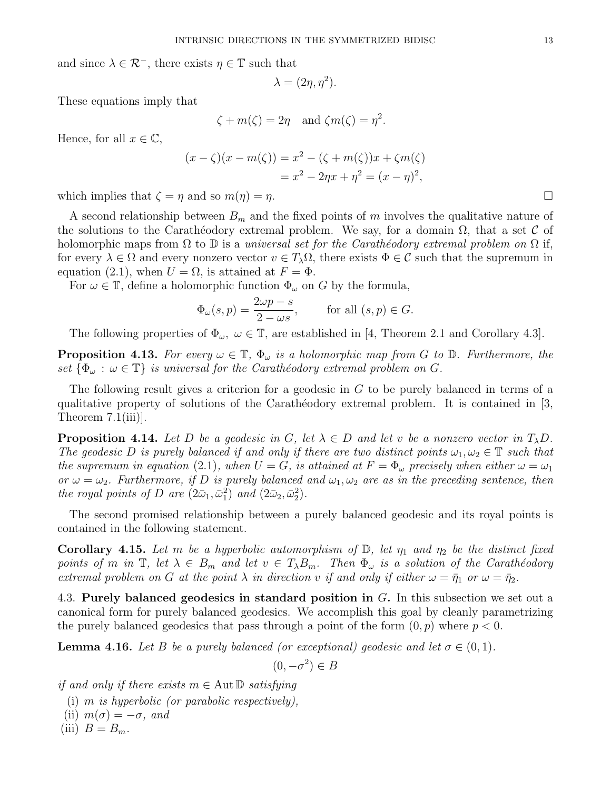and since  $\lambda \in \mathcal{R}^-$ , there exists  $\eta \in \mathbb{T}$  such that

$$
\lambda = (2\eta, \eta^2).
$$

These equations imply that

$$
\zeta + m(\zeta) = 2\eta
$$
 and  $\zeta m(\zeta) = \eta^2$ .

Hence, for all  $x \in \mathbb{C}$ ,

$$
(x - \zeta)(x - m(\zeta)) = x^2 - (\zeta + m(\zeta))x + \zeta m(\zeta)
$$
  
=  $x^2 - 2\eta x + \eta^2 = (x - \eta)^2$ ,

which implies that  $\zeta = \eta$  and so  $m(\eta) = \eta$ .

A second relationship between  $B_m$  and the fixed points of m involves the qualitative nature of the solutions to the Caratheodory extremal problem. We say, for a domain  $\Omega$ , that a set C of holomorphic maps from  $\Omega$  to  $\mathbb D$  is a universal set for the Carathéodory extremal problem on  $\Omega$  if, for every  $\lambda \in \Omega$  and every nonzero vector  $v \in T_\lambda \Omega$ , there exists  $\Phi \in \mathcal{C}$  such that the supremum in equation (2.1), when  $U = \Omega$ , is attained at  $F = \Phi$ .

For  $\omega \in \mathbb{T}$ , define a holomorphic function  $\Phi_{\omega}$  on G by the formula,

$$
\Phi_{\omega}(s,p) = \frac{2\omega p - s}{2 - \omega s}, \quad \text{for all } (s,p) \in G.
$$

The following properties of  $\Phi_{\omega}$ ,  $\omega \in \mathbb{T}$ , are established in [4, Theorem 2.1 and Corollary 4.3].

**Proposition 4.13.** For every  $\omega \in \mathbb{T}$ ,  $\Phi_{\omega}$  is a holomorphic map from G to D. Furthermore, the set  $\{\Phi_{\omega} : \omega \in \mathbb{T}\}\$ is universal for the Carathéodory extremal problem on G.

The following result gives a criterion for a geodesic in G to be purely balanced in terms of a qualitative property of solutions of the Carathéodory extremal problem. It is contained in  $[3,$ Theorem 7.1(iii)].

**Proposition 4.14.** Let D be a geodesic in G, let  $\lambda \in D$  and let v be a nonzero vector in  $T_{\lambda}D$ . The geodesic D is purely balanced if and only if there are two distinct points  $\omega_1, \omega_2 \in \mathbb{T}$  such that the supremum in equation (2.1), when  $U = G$ , is attained at  $F = \Phi_{\omega}$  precisely when either  $\omega = \omega_1$ or  $\omega = \omega_2$ . Furthermore, if D is purely balanced and  $\omega_1, \omega_2$  are as in the preceding sentence, then the royal points of D are  $(2\bar{\omega}_1, \bar{\omega}_1^2)$  and  $(2\bar{\omega}_2, \bar{\omega}_2^2)$ .

The second promised relationship between a purely balanced geodesic and its royal points is contained in the following statement.

**Corollary 4.15.** Let m be a hyperbolic automorphism of  $\mathbb{D}$ , let  $\eta_1$  and  $\eta_2$  be the distinct fixed points of m in  $\mathbb{T}$ , let  $\lambda \in B_m$  and let  $v \in T_{\lambda}B_m$ . Then  $\Phi_{\omega}$  is a solution of the Carathéodory extremal problem on G at the point  $\lambda$  in direction v if and only if either  $\omega = \bar{\eta}_1$  or  $\omega = \bar{\eta}_2$ .

4.3. Purely balanced geodesics in standard position in G. In this subsection we set out a canonical form for purely balanced geodesics. We accomplish this goal by cleanly parametrizing the purely balanced geodesics that pass through a point of the form  $(0, p)$  where  $p < 0$ .

**Lemma 4.16.** Let B be a purely balanced (or exceptional) geodesic and let  $\sigma \in (0,1)$ .

$$
(0, -\sigma^2) \in B
$$

if and only if there exists  $m \in \text{Aut } \mathbb{D}$  satisfying

(i)  $m$  is hyperbolic (or parabolic respectively),

(ii)  $m(\sigma) = -\sigma$ , and

(iii)  $B = B_m$ .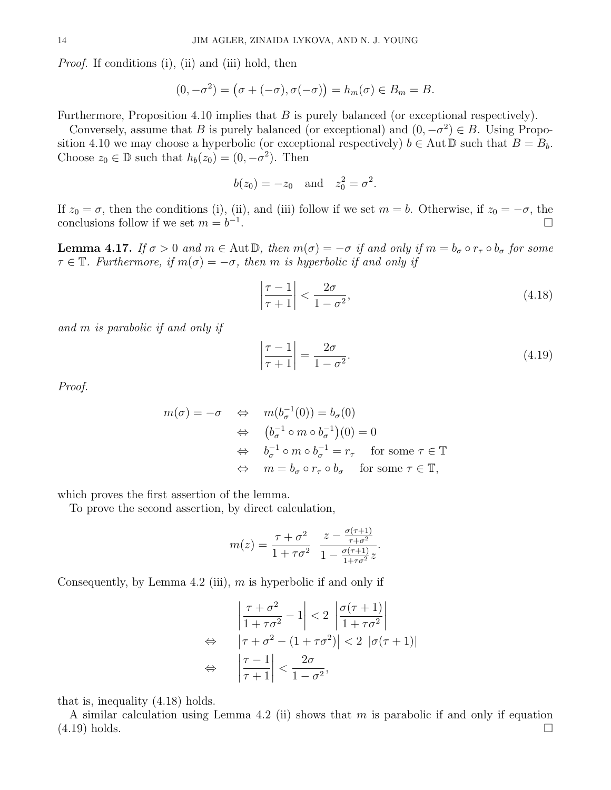Proof. If conditions (i), (ii) and (iii) hold, then

$$
(0, -\sigma^2) = (\sigma + (-\sigma), \sigma(-\sigma)) = h_m(\sigma) \in B_m = B.
$$

Furthermore, Proposition 4.10 implies that  $B$  is purely balanced (or exceptional respectively).

Conversely, assume that B is purely balanced (or exceptional) and  $(0, -\sigma^2) \in B$ . Using Proposition 4.10 we may choose a hyperbolic (or exceptional respectively)  $b \in \text{Aut } \mathbb{D}$  such that  $B = B_b$ . Choose  $z_0 \in \mathbb{D}$  such that  $h_b(z_0) = (0, -\sigma^2)$ . Then

$$
b(z_0) = -z_0
$$
 and  $z_0^2 = \sigma^2$ 

If  $z_0 = \sigma$ , then the conditions (i), (ii), and (iii) follow if we set  $m = b$ . Otherwise, if  $z_0 = -\sigma$ , the conclusions follow if we set  $m = b^{-1}$ .

**Lemma 4.17.** If  $\sigma > 0$  and  $m \in \text{Aut } \mathbb{D}$ , then  $m(\sigma) = -\sigma$  if and only if  $m = b_{\sigma} \circ r_{\tau} \circ b_{\sigma}$  for some  $\tau \in \mathbb{T}$ . Furthermore, if  $m(\sigma) = -\sigma$ , then m is hyperbolic if and only if

> $\overline{\phantom{a}}$  $\overline{\phantom{a}}$  $\overline{\phantom{a}}$  $\vert$

$$
\left|\frac{\tau-1}{\tau+1}\right| < \frac{2\sigma}{1-\sigma^2},\tag{4.18}
$$

.

and m is parabolic if and only if

$$
\left. \frac{\tau - 1}{\tau + 1} \right| = \frac{2\sigma}{1 - \sigma^2}.
$$
\n(4.19)

Proof.

$$
m(\sigma) = -\sigma \quad \Leftrightarrow \quad m(b_{\sigma}^{-1}(0)) = b_{\sigma}(0)
$$
  

$$
\Leftrightarrow \quad (b_{\sigma}^{-1} \circ m \circ b_{\sigma}^{-1})(0) = 0
$$
  

$$
\Leftrightarrow \quad b_{\sigma}^{-1} \circ m \circ b_{\sigma}^{-1} = r_{\tau} \quad \text{for some } \tau \in \mathbb{T}
$$
  

$$
\Leftrightarrow \quad m = b_{\sigma} \circ r_{\tau} \circ b_{\sigma} \quad \text{for some } \tau \in \mathbb{T},
$$

which proves the first assertion of the lemma.

To prove the second assertion, by direct calculation,

$$
m(z) = \frac{\tau + \sigma^2}{1 + \tau \sigma^2} \frac{z - \frac{\sigma(\tau + 1)}{\tau + \sigma^2}}{1 - \frac{\sigma(\tau + 1)}{1 + \tau \sigma^2} z}.
$$

Consequently, by Lemma 4.2 (iii),  $m$  is hyperbolic if and only if

$$
\left| \frac{\tau + \sigma^2}{1 + \tau \sigma^2} - 1 \right| < 2 \left| \frac{\sigma(\tau + 1)}{1 + \tau \sigma^2} \right|
$$
\n
$$
\Leftrightarrow \left| \tau + \sigma^2 - (1 + \tau \sigma^2) \right| < 2 \left| \sigma(\tau + 1) \right|
$$
\n
$$
\Leftrightarrow \left| \frac{\tau - 1}{\tau + 1} \right| < \frac{2\sigma}{1 - \sigma^2},
$$

that is, inequality (4.18) holds.

A similar calculation using Lemma 4.2 (ii) shows that m is parabolic if and only if equation  $(4.19)$  holds.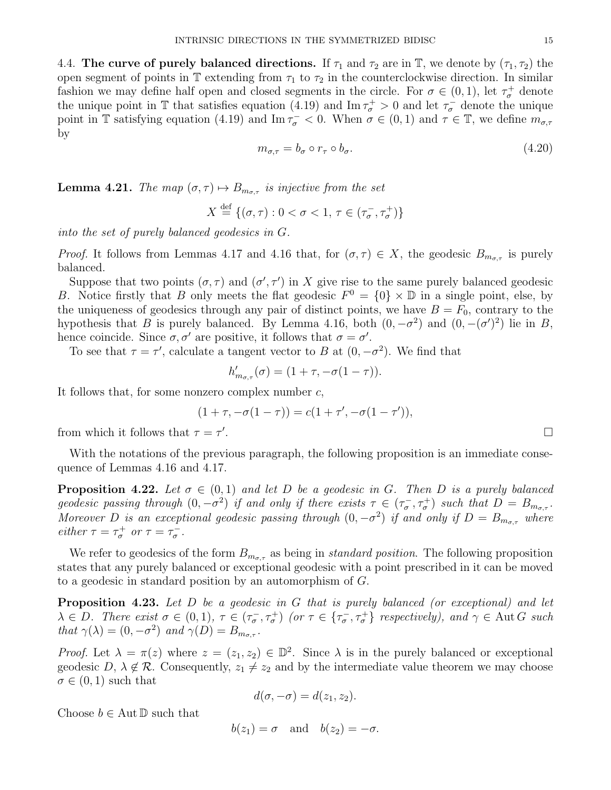4.4. The curve of purely balanced directions. If  $\tau_1$  and  $\tau_2$  are in T, we denote by  $(\tau_1, \tau_2)$  the open segment of points in  $\mathbb T$  extending from  $\tau_1$  to  $\tau_2$  in the counterclockwise direction. In similar fashion we may define half open and closed segments in the circle. For  $\sigma \in (0,1)$ , let  $\tau_{\sigma}^{+}$  denote the unique point in T that satisfies equation (4.19) and Im  $\tau_{\sigma}^{+} > 0$  and let  $\tau_{\sigma}^{-}$  denote the unique point in T satisfying equation (4.19) and  $\text{Im }\tau_{\sigma}^{-} < 0$ . When  $\sigma \in (0,1)$  and  $\tau \in \mathbb{T}$ , we define  $m_{\sigma,\tau}$ by

$$
m_{\sigma,\tau} = b_{\sigma} \circ r_{\tau} \circ b_{\sigma}.\tag{4.20}
$$

**Lemma 4.21.** The map  $(\sigma, \tau) \mapsto B_{m_{\sigma,\tau}}$  is injective from the set

$$
X \stackrel{\text{def}}{=} \{ (\sigma, \tau) : 0 < \sigma < 1, \, \tau \in (\tau_{\sigma}^-, \tau_{\sigma}^+) \}
$$

into the set of purely balanced geodesics in G.

*Proof.* It follows from Lemmas 4.17 and 4.16 that, for  $(\sigma, \tau) \in X$ , the geodesic  $B_{m_{\sigma,\tau}}$  is purely balanced.

Suppose that two points  $(\sigma, \tau)$  and  $(\sigma', \tau')$  in X give rise to the same purely balanced geodesic B. Notice firstly that B only meets the flat geodesic  $F^0 = \{0\} \times \mathbb{D}$  in a single point, else, by the uniqueness of geodesics through any pair of distinct points, we have  $B = F_0$ , contrary to the hypothesis that B is purely balanced. By Lemma 4.16, both  $(0, -\sigma^2)$  and  $(0, -(\sigma')^2)$  lie in B, hence coincide. Since  $\sigma, \sigma'$  are positive, it follows that  $\sigma = \sigma'$ .

To see that  $\tau = \tau'$ , calculate a tangent vector to B at  $(0, -\sigma^2)$ . We find that

$$
h'_{m_{\sigma,\tau}}(\sigma) = (1 + \tau, -\sigma(1 - \tau)).
$$

It follows that, for some nonzero complex number  $c$ ,

$$
(1 + \tau, -\sigma(1 - \tau)) = c(1 + \tau', -\sigma(1 - \tau')),
$$

from which it follows that  $\tau = \tau'$ 

With the notations of the previous paragraph, the following proposition is an immediate consequence of Lemmas 4.16 and 4.17.

**Proposition 4.22.** Let  $\sigma \in (0,1)$  and let D be a geodesic in G. Then D is a purely balanced geodesic passing through  $(0, -\sigma^2)$  if and only if there exists  $\tau \in (\tau_{\sigma}^-, \tau_{\sigma}^+)$  such that  $D = B_{m_{\sigma}, \tau}$ . Moreover D is an exceptional geodesic passing through  $(0, -\sigma^2)$  if and only if  $D = B_{m_{\sigma,\tau}}$  where either  $\tau = \tau_{\sigma}^{+}$  or  $\tau = \tau_{\sigma}^{-}$ .

We refer to geodesics of the form  $B_{m_{\sigma,\tau}}$  as being in *standard position*. The following proposition states that any purely balanced or exceptional geodesic with a point prescribed in it can be moved to a geodesic in standard position by an automorphism of G.

Proposition 4.23. Let D be a geodesic in G that is purely balanced (or exceptional) and let  $\lambda \in D$ . There exist  $\sigma \in (0,1)$ ,  $\tau \in (\tau_{\sigma}^-, \tau_{\sigma}^+)$  (or  $\tau \in {\tau_{\sigma}^-, \tau_{\sigma}^+}$ ) respectively), and  $\gamma \in \text{Aut } G$  such that  $\gamma(\lambda) = (0, -\sigma^2)$  and  $\gamma(D) = B_{m_{\sigma,\tau}}$ .

Proof. Let  $\lambda = \pi(z)$  where  $z = (z_1, z_2) \in \mathbb{D}^2$ . Since  $\lambda$  is in the purely balanced or exceptional geodesic D,  $\lambda \notin \mathcal{R}$ . Consequently,  $z_1 \neq z_2$  and by the intermediate value theorem we may choose  $\sigma \in (0,1)$  such that

$$
d(\sigma, -\sigma) = d(z_1, z_2).
$$

Choose  $b \in \text{Aut} \mathbb{D}$  such that

$$
b(z_1) = \sigma
$$
 and  $b(z_2) = -\sigma$ .

.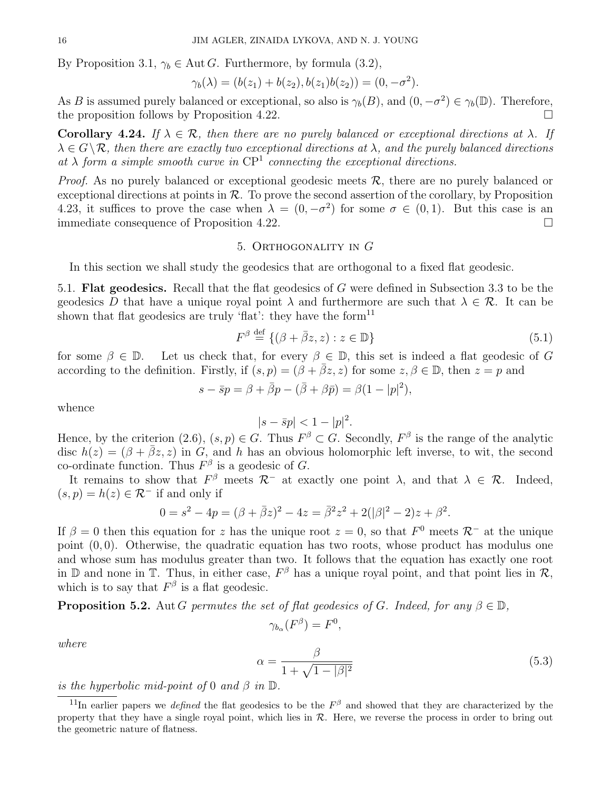By Proposition 3.1,  $\gamma_b \in \text{Aut } G$ . Furthermore, by formula (3.2),

$$
\gamma_b(\lambda) = (b(z_1) + b(z_2), b(z_1)b(z_2)) = (0, -\sigma^2).
$$

As B is assumed purely balanced or exceptional, so also is  $\gamma_b(B)$ , and  $(0, -\sigma^2) \in \gamma_b(\mathbb{D})$ . Therefore, the proposition follows by Proposition 4.22.

Corollary 4.24. If  $\lambda \in \mathcal{R}$ , then there are no purely balanced or exceptional directions at  $\lambda$ . If  $\lambda \in G \backslash \mathcal{R}$ , then there are exactly two exceptional directions at  $\lambda$ , and the purely balanced directions at  $\lambda$  form a simple smooth curve in  $\mathbb{CP}^1$  connecting the exceptional directions.

*Proof.* As no purely balanced or exceptional geodesic meets  $\mathcal{R}$ , there are no purely balanced or exceptional directions at points in  $R$ . To prove the second assertion of the corollary, by Proposition 4.23, it suffices to prove the case when  $\lambda = (0, -\sigma^2)$  for some  $\sigma \in (0, 1)$ . But this case is an immediate consequence of Proposition 4.22.

## 5. Orthogonality in G

In this section we shall study the geodesics that are orthogonal to a fixed flat geodesic.

5.1. Flat geodesics. Recall that the flat geodesics of G were defined in Subsection 3.3 to be the geodesics D that have a unique royal point  $\lambda$  and furthermore are such that  $\lambda \in \mathcal{R}$ . It can be shown that flat geodesics are truly 'flat': they have the form<sup>11</sup>

$$
F^{\beta} \stackrel{\text{def}}{=} \{ (\beta + \bar{\beta}z, z) : z \in \mathbb{D} \}
$$
\n
$$
(5.1)
$$

for some  $\beta \in \mathbb{D}$ . Let us check that, for every  $\beta \in \mathbb{D}$ , this set is indeed a flat geodesic of G according to the definition. Firstly, if  $(s, p) = (\beta + \overline{\beta}z, z)$  for some  $z, \beta \in \mathbb{D}$ , then  $z = p$  and

$$
s - \bar{s}p = \beta + \bar{\beta}p - (\bar{\beta} + \beta\bar{p}) = \beta(1 - |p|^2),
$$

whence

$$
|s - \bar{s}p| < 1 - |p|^2.
$$

Hence, by the criterion (2.6),  $(s, p) \in G$ . Thus  $F^{\beta} \subset G$ . Secondly,  $F^{\beta}$  is the range of the analytic disc  $h(z) = (\beta + \bar{\beta}z, z)$  in G, and h has an obvious holomorphic left inverse, to wit, the second co-ordinate function. Thus  $F^{\beta}$  is a geodesic of G.

It remains to show that  $F^{\beta}$  meets  $\mathcal{R}^-$  at exactly one point  $\lambda$ , and that  $\lambda \in \mathcal{R}$ . Indeed,  $(s, p) = h(z) \in \mathcal{R}^-$  if and only if

$$
0 = s2 - 4p = (\beta + \bar{\beta}z)^{2} - 4z = \bar{\beta}^{2}z^{2} + 2(|\beta|^{2} - 2)z + \beta^{2}.
$$

If  $\beta = 0$  then this equation for z has the unique root  $z = 0$ , so that  $F^0$  meets  $\mathcal{R}^-$  at the unique point  $(0, 0)$ . Otherwise, the quadratic equation has two roots, whose product has modulus one and whose sum has modulus greater than two. It follows that the equation has exactly one root in  $\mathbb D$  and none in  $\mathbb T$ . Thus, in either case,  $F^{\beta}$  has a unique royal point, and that point lies in  $\mathcal R$ , which is to say that  $F^{\beta}$  is a flat geodesic.

# **Proposition 5.2.** Aut G permutes the set of flat geodesics of G. Indeed, for any  $\beta \in \mathbb{D}$ ,

$$
\gamma_{b_{\alpha}}(F^{\beta}) = F^0,
$$

where

$$
\alpha = \frac{\beta}{1 + \sqrt{1 - |\beta|^2}}\tag{5.3}
$$

is the hyperbolic mid-point of 0 and  $\beta$  in  $\mathbb{D}$ .

<sup>&</sup>lt;sup>11</sup>In earlier papers we *defined* the flat geodesics to be the  $F^{\beta}$  and showed that they are characterized by the property that they have a single royal point, which lies in  $R$ . Here, we reverse the process in order to bring out the geometric nature of flatness.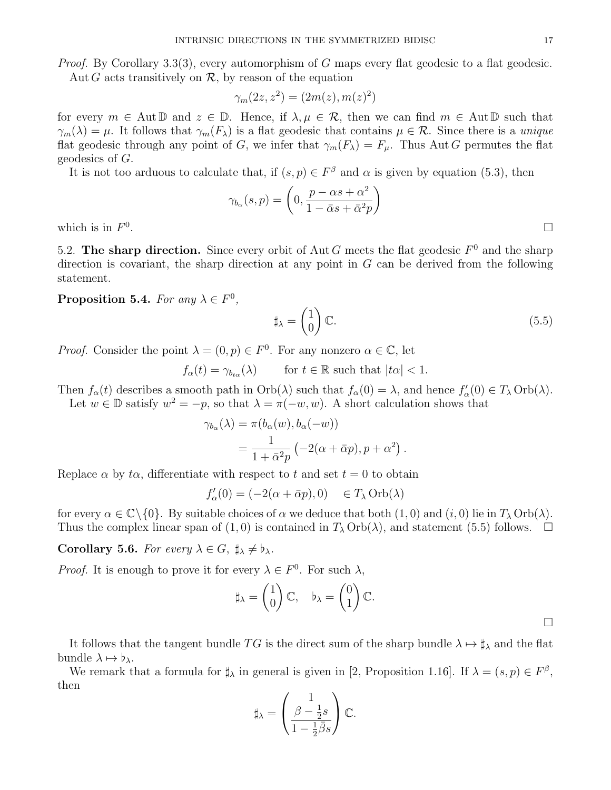*Proof.* By Corollary 3.3(3), every automorphism of G maps every flat geodesic to a flat geodesic. Aut G acts transitively on  $\mathcal{R}$ , by reason of the equation

$$
\gamma_m(2z, z^2) = (2m(z), m(z)^2)
$$

for every  $m \in \text{Aut } \mathbb{D}$  and  $z \in \mathbb{D}$ . Hence, if  $\lambda, \mu \in \mathcal{R}$ , then we can find  $m \in \text{Aut } \mathbb{D}$  such that  $\gamma_m(\lambda) = \mu$ . It follows that  $\gamma_m(F_\lambda)$  is a flat geodesic that contains  $\mu \in \mathcal{R}$ . Since there is a unique flat geodesic through any point of G, we infer that  $\gamma_m(F_\lambda) = F_\mu$ . Thus Aut G permutes the flat geodesics of G.

It is not too arduous to calculate that, if  $(s, p) \in F^{\beta}$  and  $\alpha$  is given by equation (5.3), then

$$
\gamma_{b_{\alpha}}(s,p) = \left(0, \frac{p - \alpha s + \alpha^2}{1 - \bar{\alpha}s + \bar{\alpha}^2 p}\right)
$$

which is in  $F^0$ 

5.2. The sharp direction. Since every orbit of Aut G meets the flat geodesic  $F^0$  and the sharp direction is covariant, the sharp direction at any point in  $G$  can be derived from the following statement.

Proposition 5.4. For any  $\lambda \in F^0$ ,

$$
\sharp_{\lambda} = \begin{pmatrix} 1 \\ 0 \end{pmatrix} \mathbb{C}.\tag{5.5}
$$

*Proof.* Consider the point  $\lambda = (0, p) \in F^0$ . For any nonzero  $\alpha \in \mathbb{C}$ , let

 $f_{\alpha}(t) = \gamma_{b t_{\alpha}}(\lambda)$  for  $t \in \mathbb{R}$  such that  $|t\alpha| < 1$ .

Then  $f_{\alpha}(t)$  describes a smooth path in  $Orb(\lambda)$  such that  $f_{\alpha}(0) = \lambda$ , and hence  $f'_{\alpha}(0) \in T_{\lambda} Orb(\lambda)$ .

Let  $w \in \mathbb{D}$  satisfy  $w^2 = -p$ , so that  $\lambda = \pi(-w, w)$ . A short calculation shows that

$$
\gamma_{b_{\alpha}}(\lambda) = \pi(b_{\alpha}(w), b_{\alpha}(-w))
$$
  
= 
$$
\frac{1}{1 + \bar{\alpha}^2 p} \left( -2(\alpha + \bar{\alpha}p), p + \alpha^2 \right).
$$

Replace  $\alpha$  by  $t\alpha$ , differentiate with respect to t and set  $t = 0$  to obtain

$$
f'_{\alpha}(0) = (-2(\alpha + \bar{\alpha}p), 0) \quad \in T_{\lambda} \operatorname{Orb}(\lambda)
$$

for every  $\alpha \in \mathbb{C} \setminus \{0\}$ . By suitable choices of  $\alpha$  we deduce that both  $(1, 0)$  and  $(i, 0)$  lie in  $T_{\lambda}$  Orb( $\lambda$ ). Thus the complex linear span of (1,0) is contained in  $T_{\lambda}$  Orb( $\lambda$ ), and statement (5.5) follows.  $\Box$ 

**Corollary 5.6.** For every  $\lambda \in G$ ,  $\sharp_{\lambda} \neq \flat_{\lambda}$ .

*Proof.* It is enough to prove it for every  $\lambda \in F^0$ . For such  $\lambda$ ,

$$
\sharp_{\lambda} = \begin{pmatrix} 1 \\ 0 \end{pmatrix} \mathbb{C}, \quad \flat_{\lambda} = \begin{pmatrix} 0 \\ 1 \end{pmatrix} \mathbb{C}.
$$

It follows that the tangent bundle  $TG$  is the direct sum of the sharp bundle  $\lambda \mapsto \sharp_{\lambda}$  and the flat bundle  $\lambda \mapsto \flat_{\lambda}$ .

We remark that a formula for  $\sharp_{\lambda}$  in general is given in [2, Proposition 1.16]. If  $\lambda = (s, p) \in F^{\beta}$ , then

$$
\sharp_{\lambda} = \left(\frac{1}{1 - \frac{1}{2}\overline{\beta}s}\right) \mathbb{C}.
$$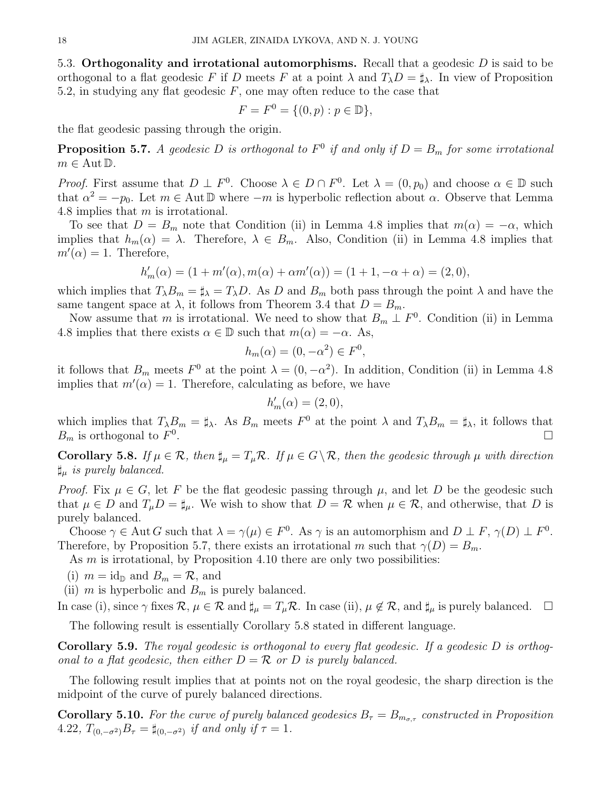5.3. Orthogonality and irrotational automorphisms. Recall that a geodesic  $D$  is said to be orthogonal to a flat geodesic F if D meets F at a point  $\lambda$  and  $T_{\lambda}D = \sharp_{\lambda}$ . In view of Proposition 5.2, in studying any flat geodesic  $F$ , one may often reduce to the case that

$$
F = F^{0} = \{ (0, p) : p \in \mathbb{D} \},
$$

the flat geodesic passing through the origin.

**Proposition 5.7.** A geodesic D is orthogonal to  $F^0$  if and only if  $D = B_m$  for some irrotational  $m \in \text{Aut } \mathbb{D}$ .

*Proof.* First assume that  $D \perp F^0$ . Choose  $\lambda \in D \cap F^0$ . Let  $\lambda = (0, p_0)$  and choose  $\alpha \in \mathbb{D}$  such that  $\alpha^2 = -p_0$ . Let  $m \in \text{Aut } \mathbb{D}$  where  $-m$  is hyperbolic reflection about  $\alpha$ . Observe that Lemma 4.8 implies that m is irrotational.

To see that  $D = B_m$  note that Condition (ii) in Lemma 4.8 implies that  $m(\alpha) = -\alpha$ , which implies that  $h_m(\alpha) = \lambda$ . Therefore,  $\lambda \in B_m$ . Also, Condition (ii) in Lemma 4.8 implies that  $m'(\alpha) = 1$ . Therefore,

$$
h'_{m}(\alpha) = (1 + m'(\alpha), m(\alpha) + \alpha m'(\alpha)) = (1 + 1, -\alpha + \alpha) = (2, 0),
$$

which implies that  $T_{\lambda}B_m = \sharp_{\lambda} = T_{\lambda}D$ . As D and  $B_m$  both pass through the point  $\lambda$  and have the same tangent space at  $\lambda$ , it follows from Theorem 3.4 that  $D = B_m$ .

Now assume that m is irrotational. We need to show that  $B_m \perp F^0$ . Condition (ii) in Lemma 4.8 implies that there exists  $\alpha \in \mathbb{D}$  such that  $m(\alpha) = -\alpha$ . As,

$$
h_m(\alpha) = (0, -\alpha^2) \in F^0,
$$

it follows that  $B_m$  meets  $F^0$  at the point  $\lambda = (0, -\alpha^2)$ . In addition, Condition (ii) in Lemma 4.8 implies that  $m'(\alpha) = 1$ . Therefore, calculating as before, we have

$$
h'_m(\alpha) = (2,0),
$$

which implies that  $T_{\lambda}B_m = \sharp_{\lambda}$ . As  $B_m$  meets  $F^0$  at the point  $\lambda$  and  $T_{\lambda}B_m = \sharp_{\lambda}$ , it follows that  $B_m$  is orthogonal to  $F^0$ .

Corollary 5.8. If  $\mu \in \mathcal{R}$ , then  $\sharp_{\mu} = T_{\mu} \mathcal{R}$ . If  $\mu \in G \setminus \mathcal{R}$ , then the geodesic through  $\mu$  with direction  $\sharp_{\mu}$  is purely balanced.

*Proof.* Fix  $\mu \in G$ , let F be the flat geodesic passing through  $\mu$ , and let D be the geodesic such that  $\mu \in D$  and  $T_{\mu}D = \sharp_{\mu}$ . We wish to show that  $D = \mathcal{R}$  when  $\mu \in \mathcal{R}$ , and otherwise, that D is purely balanced.

Choose  $\gamma \in \text{Aut } G$  such that  $\lambda = \gamma(\mu) \in F^0$ . As  $\gamma$  is an automorphism and  $D \perp F$ ,  $\gamma(D) \perp F^0$ . Therefore, by Proposition 5.7, there exists an irrotational m such that  $\gamma(D) = B_m$ .

As  $m$  is irrotational, by Proposition 4.10 there are only two possibilities:

(i)  $m = id_{\mathbb{D}}$  and  $B_m = \mathcal{R}$ , and

(ii) m is hyperbolic and  $B<sub>m</sub>$  is purely balanced.

In case (i), since  $\gamma$  fixes  $\mathcal{R}, \mu \in \mathcal{R}$  and  $\sharp_{\mu} = T_{\mu} \mathcal{R}$ . In case (ii),  $\mu \notin \mathcal{R}$ , and  $\sharp_{\mu}$  is purely balanced.  $\Box$ 

The following result is essentially Corollary 5.8 stated in different language.

**Corollary 5.9.** The royal geodesic is orthogonal to every flat geodesic. If a geodesic  $D$  is orthogonal to a flat geodesic, then either  $D = \mathcal{R}$  or D is purely balanced.

The following result implies that at points not on the royal geodesic, the sharp direction is the midpoint of the curve of purely balanced directions.

**Corollary 5.10.** For the curve of purely balanced geodesics  $B_{\tau} = B_{m_{\sigma,\tau}}$  constructed in Proposition 4.22,  $T_{(0,-\sigma^2)}B_{\tau} = \sharp_{(0,-\sigma^2)}$  if and only if  $\tau = 1$ .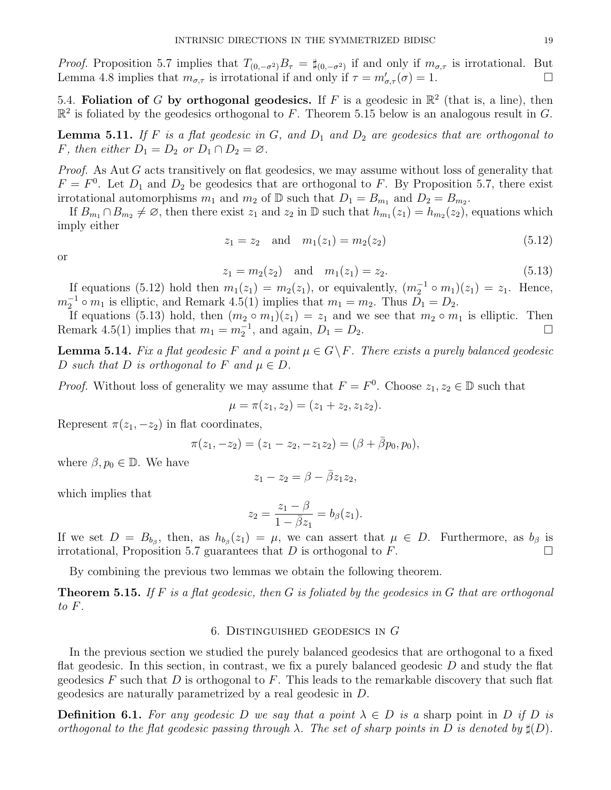*Proof.* Proposition 5.7 implies that  $T_{(0,-\sigma^2)}B_\tau = \sharp_{(0,-\sigma^2)}$  if and only if  $m_{\sigma,\tau}$  is irrotational. But Lemma 4.8 implies that  $m_{\sigma,\tau}$  is irrotational if and only if  $\tau = m'_{\sigma,\tau}(\sigma) = 1$ .

5.4. Foliation of G by orthogonal geodesics. If F is a geodesic in  $\mathbb{R}^2$  (that is, a line), then  $\mathbb{R}^2$  is foliated by the geodesics orthogonal to F. Theorem 5.15 below is an analogous result in G.

**Lemma 5.11.** If F is a flat geodesic in G, and  $D_1$  and  $D_2$  are geodesics that are orthogonal to F, then either  $D_1 = D_2$  or  $D_1 \cap D_2 = \emptyset$ .

*Proof.* As Aut  $G$  acts transitively on flat geodesics, we may assume without loss of generality that  $F = F<sup>0</sup>$ . Let  $D<sub>1</sub>$  and  $D<sub>2</sub>$  be geodesics that are orthogonal to F. By Proposition 5.7, there exist irrotational automorphisms  $m_1$  and  $m_2$  of  $\mathbb D$  such that  $D_1 = B_{m_1}$  and  $D_2 = B_{m_2}$ .

If  $B_{m_1} \cap B_{m_2} \neq \emptyset$ , then there exist  $z_1$  and  $z_2$  in  $\mathbb D$  such that  $h_{m_1}(z_1) = h_{m_2}(z_2)$ , equations which imply either

$$
z_1 = z_2 \quad \text{and} \quad m_1(z_1) = m_2(z_2) \tag{5.12}
$$

or

$$
z_1 = m_2(z_2) \quad \text{and} \quad m_1(z_1) = z_2. \tag{5.13}
$$

If equations (5.12) hold then  $m_1(z_1) = m_2(z_1)$ , or equivalently,  $(m_2^{-1} \circ m_1)(z_1) = z_1$ . Hence,  $m_2^{-1} \circ m_1$  is elliptic, and Remark 4.5(1) implies that  $m_1 = m_2$ . Thus  $D_1 = D_2$ .

If equations (5.13) hold, then  $(m_2 \circ m_1)(z_1) = z_1$  and we see that  $m_2 \circ m_1$  is elliptic. Then Remark 4.5(1) implies that  $m_1 = m_2^{-1}$ , and again,  $D_1 = D_2$ .

**Lemma 5.14.** Fix a flat geodesic F and a point  $\mu \in G \backslash F$ . There exists a purely balanced geodesic D such that D is orthogonal to F and  $\mu \in D$ .

*Proof.* Without loss of generality we may assume that  $F = F^0$ . Choose  $z_1, z_2 \in \mathbb{D}$  such that

$$
\mu = \pi(z_1, z_2) = (z_1 + z_2, z_1 z_2).
$$

Represent  $\pi(z_1, -z_2)$  in flat coordinates,

$$
\pi(z_1, -z_2) = (z_1 - z_2, -z_1 z_2) = (\beta + \overline{\beta} p_0, p_0),
$$

where  $\beta, p_0 \in \mathbb{D}$ . We have

$$
z_1 - z_2 = \beta - \bar{\beta} z_1 z_2,
$$

which implies that

$$
z_2 = \frac{z_1 - \beta}{1 - \bar{\beta}z_1} = b_{\beta}(z_1).
$$

If we set  $D = B_{b_{\beta}}$ , then, as  $h_{b_{\beta}}(z_1) = \mu$ , we can assert that  $\mu \in D$ . Furthermore, as  $b_{\beta}$  is irrotational, Proposition 5.7 guarantees that D is orthogonal to F.

By combining the previous two lemmas we obtain the following theorem.

**Theorem 5.15.** If F is a flat geodesic, then G is foliated by the geodesics in G that are orthogonal to F.

## 6. DISTINGUISHED GEODESICS IN  $G$

In the previous section we studied the purely balanced geodesics that are orthogonal to a fixed flat geodesic. In this section, in contrast, we fix a purely balanced geodesic  $D$  and study the flat geodesics  $F$  such that  $D$  is orthogonal to  $F$ . This leads to the remarkable discovery that such flat geodesics are naturally parametrized by a real geodesic in D.

**Definition 6.1.** For any geodesic D we say that a point  $\lambda \in D$  is a sharp point in D if D is orthogonal to the flat geodesic passing through  $\lambda$ . The set of sharp points in D is denoted by  $\sharp(D)$ .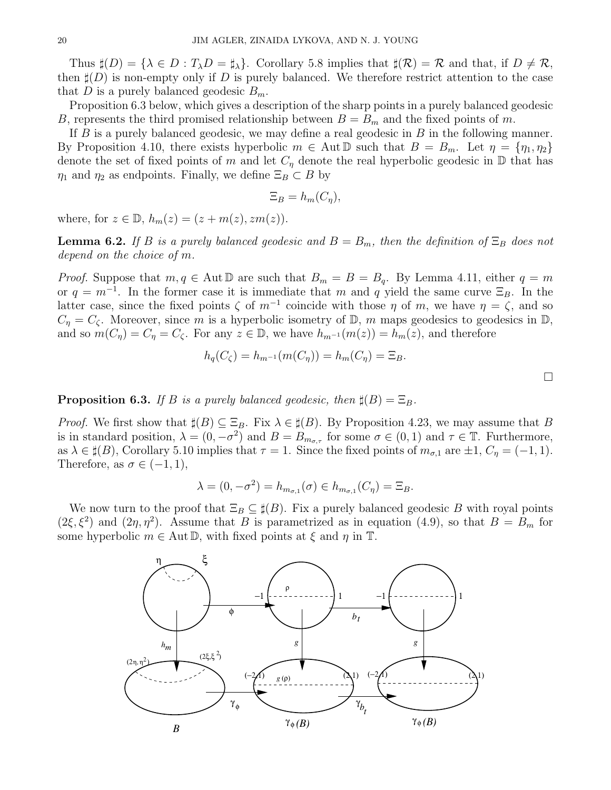Thus  $\sharp(D) = {\lambda \in D : T_{\lambda}D = \sharp_{\lambda}}$ . Corollary 5.8 implies that  $\sharp(\mathcal{R}) = \mathcal{R}$  and that, if  $D \neq \mathcal{R}$ , then  $\sharp(D)$  is non-empty only if D is purely balanced. We therefore restrict attention to the case that D is a purely balanced geodesic  $B_m$ .

Proposition 6.3 below, which gives a description of the sharp points in a purely balanced geodesic B, represents the third promised relationship between  $B = B_m$  and the fixed points of m.

If  $B$  is a purely balanced geodesic, we may define a real geodesic in  $B$  in the following manner. By Proposition 4.10, there exists hyperbolic  $m \in \text{Aut } \mathbb{D}$  such that  $B = B_m$ . Let  $\eta = {\eta_1, \eta_2}$ denote the set of fixed points of m and let  $C<sub>\eta</sub>$  denote the real hyperbolic geodesic in  $\mathbb D$  that has  $\eta_1$  and  $\eta_2$  as endpoints. Finally, we define  $\Xi_B \subset B$  by

$$
\Xi_B = h_m(C_\eta),
$$

where, for  $z \in \mathbb{D}$ ,  $h_m(z) = (z + m(z), zm(z)).$ 

**Lemma 6.2.** If B is a purely balanced geodesic and  $B = B_m$ , then the definition of  $\Xi_B$  does not depend on the choice of m.

*Proof.* Suppose that  $m, q \in \text{Aut} \mathbb{D}$  are such that  $B_m = B = B_q$ . By Lemma 4.11, either  $q = m$ or  $q = m^{-1}$ . In the former case it is immediate that m and q yield the same curve  $\Xi_B$ . In the latter case, since the fixed points  $\zeta$  of  $m^{-1}$  coincide with those  $\eta$  of  $m$ , we have  $\eta = \zeta$ , and so  $C_{\eta} = C_{\zeta}$ . Moreover, since m is a hyperbolic isometry of D, m maps geodesics to geodesics in D, and so  $m(C_n) = C_n = C_\zeta$ . For any  $z \in \mathbb{D}$ , we have  $h_{m^{-1}}(m(z)) = h_m(z)$ , and therefore

$$
h_q(C_{\zeta}) = h_{m^{-1}}(m(C_{\eta})) = h_m(C_{\eta}) = \Xi_B.
$$

**Proposition 6.3.** If B is a purely balanced geodesic, then  $\sharp(B) = \Xi_B$ .

*Proof.* We first show that  $\sharp(B) \subseteq \Xi_B$ . Fix  $\lambda \in \sharp(B)$ . By Proposition 4.23, we may assume that B is in standard position,  $\lambda = (0, -\sigma^2)$  and  $B = B_{m_{\sigma,\tau}}$  for some  $\sigma \in (0, 1)$  and  $\tau \in \mathbb{T}$ . Furthermore, as  $\lambda \in \sharp(B)$ , Corollary 5.10 implies that  $\tau = 1$ . Since the fixed points of  $m_{\sigma,1}$  are  $\pm 1$ ,  $C_{\eta} = (-1,1)$ . Therefore, as  $\sigma \in (-1,1)$ ,

$$
\lambda = (0, -\sigma^2) = h_{m_{\sigma,1}}(\sigma) \in h_{m_{\sigma,1}}(C_\eta) = \Xi_B.
$$

We now turn to the proof that  $\Xi_B \subseteq \sharp(B)$ . Fix a purely balanced geodesic B with royal points  $(2\xi, \xi^2)$  and  $(2\eta, \eta^2)$ . Assume that B is parametrized as in equation  $(4.9)$ , so that  $B = B_m$  for some hyperbolic  $m \in \text{Aut} \mathbb{D}$ , with fixed points at  $\xi$  and  $\eta$  in  $\mathbb{T}$ .

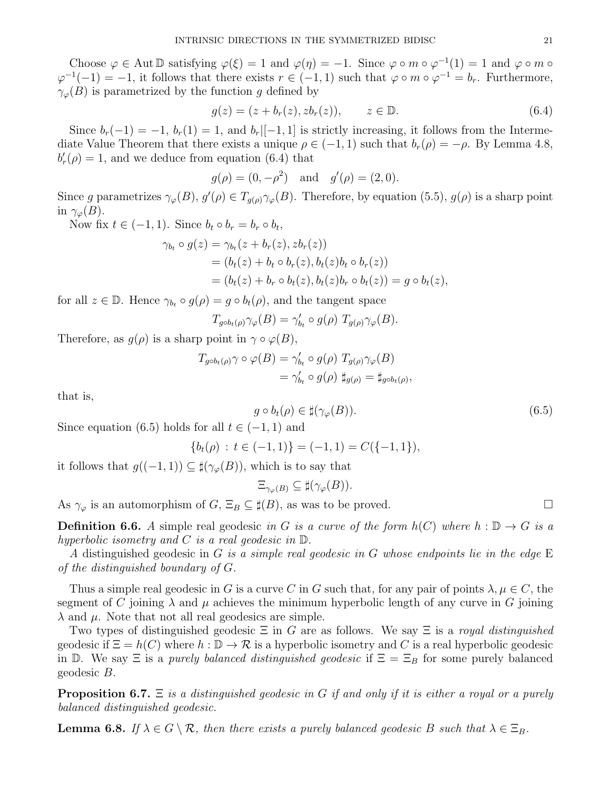Choose  $\varphi \in \text{Aut } \mathbb{D}$  satisfying  $\varphi(\xi) = 1$  and  $\varphi(\eta) = -1$ . Since  $\varphi \circ m \circ \varphi^{-1}(1) = 1$  and  $\varphi \circ m \circ \varphi^{-1}(1) = 1$  $\varphi^{-1}(-1) = -1$ , it follows that there exists  $r \in (-1,1)$  such that  $\varphi \circ m \circ \varphi^{-1} = b_r$ . Furthermore,  $\gamma_{\varphi}(B)$  is parametrized by the function g defined by

$$
g(z) = (z + b_r(z), zb_r(z)), \qquad z \in \mathbb{D}.
$$
 (6.4)

Since  $b_r(-1) = -1$ ,  $b_r(1) = 1$ , and  $b_r$ [-1,1] is strictly increasing, it follows from the Intermediate Value Theorem that there exists a unique  $\rho \in (-1,1)$  such that  $b_r(\rho) = -\rho$ . By Lemma 4.8,  $b'_r(\rho) = 1$ , and we deduce from equation (6.4) that

$$
g(\rho) = (0, -\rho^2)
$$
 and  $g'(\rho) = (2, 0)$ .

Since g parametrizes  $\gamma_{\varphi}(B)$ ,  $g'(\rho) \in T_{g(\rho)}\gamma_{\varphi}(B)$ . Therefore, by equation (5.5),  $g(\rho)$  is a sharp point in  $\gamma_{\varphi}(B)$ .

Now fix  $t \in (-1, 1)$ . Since  $b_t \circ b_r = b_r \circ b_t$ ,

$$
\gamma_{b_t} \circ g(z) = \gamma_{b_t}(z + b_r(z), zb_r(z))
$$
  
=  $(b_t(z) + b_t \circ b_r(z), b_t(z)b_t \circ b_r(z))$   
=  $(b_t(z) + b_r \circ b_t(z), b_t(z)b_r \circ b_t(z)) = g \circ b_t(z),$ 

for all  $z \in \mathbb{D}$ . Hence  $\gamma_{b_t} \circ g(\rho) = g \circ b_t(\rho)$ , and the tangent space

$$
T_{g \circ b_t(\rho)} \gamma_{\varphi}(B) = \gamma'_{b_t} \circ g(\rho) T_{g(\rho)} \gamma_{\varphi}(B).
$$

Therefore, as  $g(\rho)$  is a sharp point in  $\gamma \circ \varphi(B)$ ,

$$
T_{g \circ b_t(\rho)} \gamma \circ \varphi(B) = \gamma'_{b_t} \circ g(\rho) T_{g(\rho)} \gamma_{\varphi}(B)
$$
  
=  $\gamma'_{b_t} \circ g(\rho) \sharp_{g(\rho)} = \sharp_{g \circ b_t(\rho)},$ 

that is,

$$
g \circ b_t(\rho) \in \sharp(\gamma_\varphi(B)).\tag{6.5}
$$

Since equation (6.5) holds for all  $t \in (-1, 1)$  and

$$
\{b_t(\rho) : t \in (-1,1)\} = (-1,1) = C(\{-1,1\}),
$$

it follows that  $g((-1, 1)) \subseteq \sharp(\gamma_{\varphi}(B))$ , which is to say that

$$
\Xi_{\gamma_{\varphi}(B)} \subseteq \sharp(\gamma_{\varphi}(B)).
$$

As  $\gamma_{\varphi}$  is an automorphism of  $G, \Xi_B \subseteq \sharp(B)$ , as was to be proved.

**Definition 6.6.** A simple real geodesic in G is a curve of the form  $h(C)$  where  $h : \mathbb{D} \to G$  is a hyperbolic isometry and C is a real geodesic in  $\mathbb{D}$ .

A distinguished geodesic in G is a simple real geodesic in G whose endpoints lie in the edge  $E$ of the distinguished boundary of G.

Thus a simple real geodesic in G is a curve C in G such that, for any pair of points  $\lambda, \mu \in C$ , the segment of C joining  $\lambda$  and  $\mu$  achieves the minimum hyperbolic length of any curve in G joining  $\lambda$  and  $\mu$ . Note that not all real geodesics are simple.

Two types of distinguished geodesic  $\Xi$  in G are as follows. We say  $\Xi$  is a royal distinguished geodesic if  $\Xi = h(C)$  where  $h : \mathbb{D} \to \mathcal{R}$  is a hyperbolic isometry and C is a real hyperbolic geodesic in D. We say  $\Xi$  is a *purely balanced distinguished geodesic* if  $\Xi = \Xi_B$  for some purely balanced geodesic B.

**Proposition 6.7.**  $\Xi$  is a distinguished geodesic in G if and only if it is either a royal or a purely balanced distinguished geodesic.

**Lemma 6.8.** If  $\lambda \in G \setminus \mathcal{R}$ , then there exists a purely balanced geodesic B such that  $\lambda \in \Xi_B$ .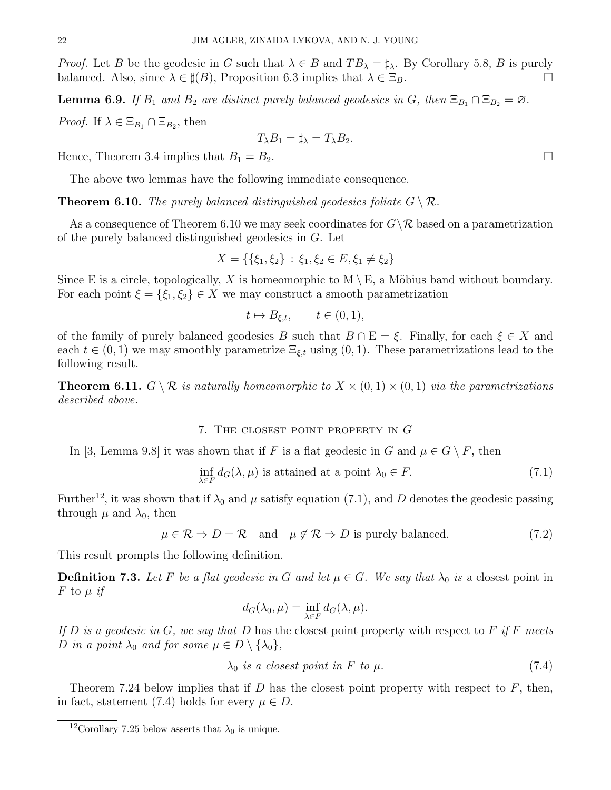*Proof.* Let B be the geodesic in G such that  $\lambda \in B$  and  $TB_{\lambda} = \sharp_{\lambda}$ . By Corollary 5.8, B is purely balanced. Also, since  $\lambda \in \sharp(B)$ , Proposition 6.3 implies that  $\lambda \in \Xi_B$ .

**Lemma 6.9.** If  $B_1$  and  $B_2$  are distinct purely balanced geodesics in G, then  $\Xi_{B_1} \cap \Xi_{B_2} = \emptyset$ . *Proof.* If  $\lambda \in \Xi_{B_1} \cap \Xi_{B_2}$ , then

$$
T_{\lambda}B_1 = \sharp_{\lambda} = T_{\lambda}B_2.
$$

Hence, Theorem 3.4 implies that  $B_1 = B_2$ .

The above two lemmas have the following immediate consequence.

**Theorem 6.10.** The purely balanced distinguished geodesics foliate  $G \setminus \mathcal{R}$ .

As a consequence of Theorem 6.10 we may seek coordinates for  $G\backslash\mathcal{R}$  based on a parametrization of the purely balanced distinguished geodesics in G. Let

$$
X = \{\{\xi_1, \xi_2\} : \xi_1, \xi_2 \in E, \xi_1 \neq \xi_2\}
$$

Since E is a circle, topologically, X is homeomorphic to  $M \setminus E$ , a Möbius band without boundary. For each point  $\xi = \{\xi_1, \xi_2\} \in X$  we may construct a smooth parametrization

$$
t \mapsto B_{\xi,t}, \qquad t \in (0,1),
$$

of the family of purely balanced geodesics B such that  $B \cap E = \xi$ . Finally, for each  $\xi \in X$  and each  $t \in (0, 1)$  we may smoothly parametrize  $\Xi_{\xi,t}$  using  $(0, 1)$ . These parametrizations lead to the following result.

**Theorem 6.11.**  $G \setminus \mathcal{R}$  is naturally homeomorphic to  $X \times (0,1) \times (0,1)$  via the parametrizations described above.

## 7. The closest point property in G

In [3, Lemma 9.8] it was shown that if F is a flat geodesic in G and  $\mu \in G \setminus F$ , then

$$
\inf_{\lambda \in F} d_G(\lambda, \mu) \text{ is attained at a point } \lambda_0 \in F. \tag{7.1}
$$

Further<sup>12</sup>, it was shown that if  $\lambda_0$  and  $\mu$  satisfy equation (7.1), and D denotes the geodesic passing through  $\mu$  and  $\lambda_0$ , then

 $\mu \in \mathcal{R} \Rightarrow D = \mathcal{R}$  and  $\mu \notin \mathcal{R} \Rightarrow D$  is purely balanced. (7.2)

This result prompts the following definition.

**Definition 7.3.** Let F be a flat geodesic in G and let  $\mu \in G$ . We say that  $\lambda_0$  is a closest point in  $F$  to  $\mu$  if

$$
d_G(\lambda_0, \mu) = \inf_{\lambda \in F} d_G(\lambda, \mu).
$$

If  $D$  is a geodesic in  $G$ , we say that  $D$  has the closest point property with respect to  $F$  if  $F$  meets D in a point  $\lambda_0$  and for some  $\mu \in D \setminus {\lambda_0},$ 

$$
\lambda_0 \text{ is a closest point in } F \text{ to } \mu. \tag{7.4}
$$

Theorem 7.24 below implies that if  $D$  has the closest point property with respect to  $F$ , then, in fact, statement (7.4) holds for every  $\mu \in D$ .

<sup>&</sup>lt;sup>12</sup>Corollary 7.25 below asserts that  $\lambda_0$  is unique.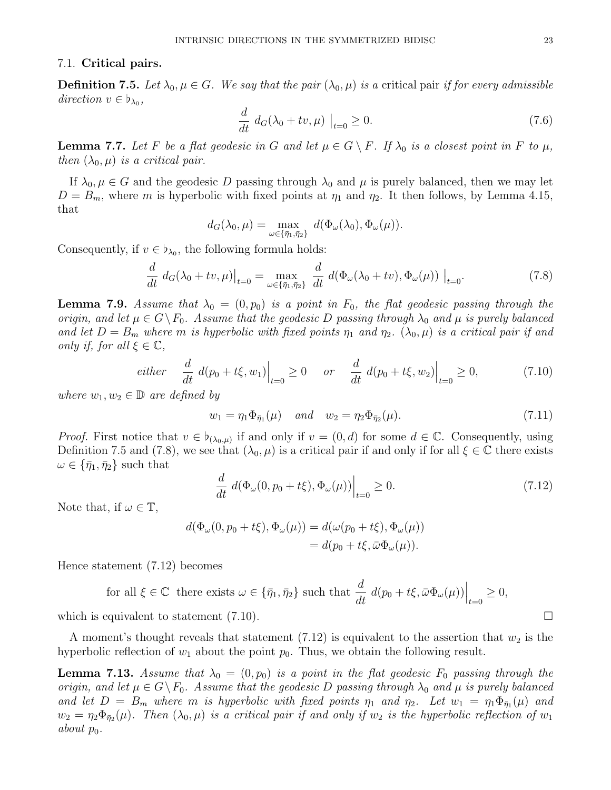#### 7.1. Critical pairs.

**Definition 7.5.** Let  $\lambda_0, \mu \in G$ . We say that the pair  $(\lambda_0, \mu)$  is a critical pair if for every admissible direction  $v \in \flat_{\lambda_0}$ ,

$$
\frac{d}{dt} d_G(\lambda_0 + tv, \mu) \Big|_{t=0} \ge 0. \tag{7.6}
$$

**Lemma 7.7.** Let F be a flat geodesic in G and let  $\mu \in G \setminus F$ . If  $\lambda_0$  is a closest point in F to  $\mu$ , then  $(\lambda_0, \mu)$  is a critical pair.

If  $\lambda_0, \mu \in G$  and the geodesic D passing through  $\lambda_0$  and  $\mu$  is purely balanced, then we may let  $D = B_m$ , where m is hyperbolic with fixed points at  $\eta_1$  and  $\eta_2$ . It then follows, by Lemma 4.15, that

$$
d_G(\lambda_0, \mu) = \max_{\omega \in {\{\bar{\eta}_1, \bar{\eta}_2\}}} d(\Phi_\omega(\lambda_0), \Phi_\omega(\mu)).
$$

Consequently, if  $v \in \flat_{\lambda_0}$ , the following formula holds:

$$
\frac{d}{dt} d_G(\lambda_0 + tv, \mu)|_{t=0} = \max_{\omega \in {\{\bar{\eta}_1, \bar{\eta}_2\}}} \frac{d}{dt} d(\Phi_\omega(\lambda_0 + tv), \Phi_\omega(\mu))|_{t=0}.
$$
\n(7.8)

**Lemma 7.9.** Assume that  $\lambda_0 = (0, p_0)$  is a point in  $F_0$ , the flat geodesic passing through the origin, and let  $\mu \in G \backslash F_0$ . Assume that the geodesic D passing through  $\lambda_0$  and  $\mu$  is purely balanced and let  $D = B_m$  where m is hyperbolic with fixed points  $\eta_1$  and  $\eta_2$ .  $(\lambda_0, \mu)$  is a critical pair if and only if, for all  $\xi \in \mathbb{C}$ ,

$$
either \quad \frac{d}{dt} \; d(p_0 + t\xi, w_1) \Big|_{t=0} \ge 0 \quad or \quad \frac{d}{dt} \; d(p_0 + t\xi, w_2) \Big|_{t=0} \ge 0,
$$
\n(7.10)

where  $w_1, w_2 \in \mathbb{D}$  are defined by

$$
w_1 = \eta_1 \Phi_{\bar{\eta}_1}(\mu) \quad \text{and} \quad w_2 = \eta_2 \Phi_{\bar{\eta}_2}(\mu). \tag{7.11}
$$

*Proof.* First notice that  $v \in b_{(\lambda_0,\mu)}$  if and only if  $v = (0,d)$  for some  $d \in \mathbb{C}$ . Consequently, using Definition 7.5 and (7.8), we see that  $(\lambda_0, \mu)$  is a critical pair if and only if for all  $\xi \in \mathbb{C}$  there exists  $\omega \in {\bar{\eta}_1, \bar{\eta}_2}$  such that

$$
\frac{d}{dt} d(\Phi_{\omega}(0, p_0 + t\xi), \Phi_{\omega}(\mu))\Big|_{t=0} \ge 0.
$$
\n(7.12)

Note that, if  $\omega \in \mathbb{T}$ ,

$$
d(\Phi_{\omega}(0, p_0 + t\xi), \Phi_{\omega}(\mu)) = d(\omega(p_0 + t\xi), \Phi_{\omega}(\mu))
$$
  
= 
$$
d(p_0 + t\xi, \bar{\omega}\Phi_{\omega}(\mu)).
$$

Hence statement (7.12) becomes

for all  $\xi \in \mathbb{C}$  there exists  $\omega \in {\bar{\eta}_1, \bar{\eta}_2}$  such that  $\frac{d}{dt} d(p_0 + t\xi, \bar{\omega}\Phi_\omega(\mu))\Big|_{t=0} \geq 0$ , which is equivalent to statement  $(7.10)$ .

A moment's thought reveals that statement  $(7.12)$  is equivalent to the assertion that  $w_2$  is the hyperbolic reflection of  $w_1$  about the point  $p_0$ . Thus, we obtain the following result.

**Lemma 7.13.** Assume that  $\lambda_0 = (0, p_0)$  is a point in the flat geodesic  $F_0$  passing through the origin, and let  $\mu \in G \backslash F_0$ . Assume that the geodesic D passing through  $\lambda_0$  and  $\mu$  is purely balanced and let  $D = B_m$  where m is hyperbolic with fixed points  $\eta_1$  and  $\eta_2$ . Let  $w_1 = \eta_1 \Phi_{\bar{\eta}_1}(\mu)$  and  $w_2 = \eta_2 \Phi_{\bar{\eta}_2}(\mu)$ . Then  $(\lambda_0, \mu)$  is a critical pair if and only if  $w_2$  is the hyperbolic reflection of  $w_1$ about  $p_0$ .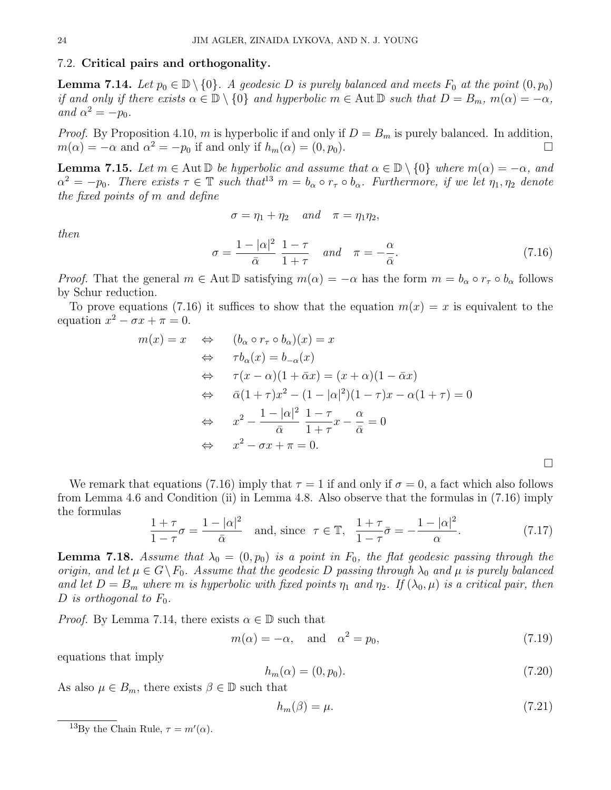## 7.2. Critical pairs and orthogonality.

**Lemma 7.14.** Let  $p_0 \in \mathbb{D} \setminus \{0\}$ . A geodesic D is purely balanced and meets  $F_0$  at the point  $(0, p_0)$ if and only if there exists  $\alpha \in \mathbb{D} \setminus \{0\}$  and hyperbolic  $m \in \text{Aut } \mathbb{D}$  such that  $D = B_m$ ,  $m(\alpha) = -\alpha$ , and  $\alpha^2 = -p_0$ .

*Proof.* By Proposition 4.10, m is hyperbolic if and only if  $D = B_m$  is purely balanced. In addition,  $m(\alpha) = -\alpha$  and  $\alpha^2 = -p_0$  if and only if  $h_m(\alpha) = (0, p_0)$ .

**Lemma 7.15.** Let  $m \in \text{Aut } \mathbb{D}$  be hyperbolic and assume that  $\alpha \in \mathbb{D} \setminus \{0\}$  where  $m(\alpha) = -\alpha$ , and  $\alpha^2 = -p_0$ . There exists  $\tau \in \mathbb{T}$  such that<sup>13</sup>  $m = b_\alpha \circ r_\tau \circ b_\alpha$ . Furthermore, if we let  $\eta_1, \eta_2$  denote the fixed points of m and define

$$
\sigma = \eta_1 + \eta_2 \quad and \quad \pi = \eta_1 \eta_2,
$$

then

$$
\sigma = \frac{1 - |\alpha|^2}{\bar{\alpha}} \frac{1 - \tau}{1 + \tau} \quad and \quad \pi = -\frac{\alpha}{\bar{\alpha}}.
$$
 (7.16)

*Proof.* That the general  $m \in \text{Aut } \mathbb{D}$  satisfying  $m(\alpha) = -\alpha$  has the form  $m = b_{\alpha} \circ r_{\tau} \circ b_{\alpha}$  follows by Schur reduction.

To prove equations (7.16) it suffices to show that the equation  $m(x) = x$  is equivalent to the equation  $x^2 - \sigma x + \pi = 0$ .

$$
m(x) = x \Leftrightarrow (b_{\alpha} \circ r_{\tau} \circ b_{\alpha})(x) = x
$$
  
\n
$$
\Leftrightarrow \tau b_{\alpha}(x) = b_{-\alpha}(x)
$$
  
\n
$$
\Leftrightarrow \tau(x - \alpha)(1 + \bar{\alpha}x) = (x + \alpha)(1 - \bar{\alpha}x)
$$
  
\n
$$
\Leftrightarrow \bar{\alpha}(1 + \tau)x^2 - (1 - |\alpha|^2)(1 - \tau)x - \alpha(1 + \tau) = 0
$$
  
\n
$$
\Leftrightarrow x^2 - \frac{1 - |\alpha|^2}{\bar{\alpha}} \frac{1 - \tau}{1 + \tau}x - \frac{\alpha}{\bar{\alpha}} = 0
$$
  
\n
$$
\Leftrightarrow x^2 - \sigma x + \pi = 0.
$$

We remark that equations (7.16) imply that  $\tau = 1$  if and only if  $\sigma = 0$ , a fact which also follows from Lemma 4.6 and Condition (ii) in Lemma 4.8. Also observe that the formulas in (7.16) imply the formulas

$$
\frac{1+\tau}{1-\tau}\sigma = \frac{1-|\alpha|^2}{\bar{\alpha}} \quad \text{and, since} \quad \tau \in \mathbb{T}, \quad \frac{1+\tau}{1-\tau}\bar{\sigma} = -\frac{1-|\alpha|^2}{\alpha}.\tag{7.17}
$$

**Lemma 7.18.** Assume that  $\lambda_0 = (0, p_0)$  is a point in  $F_0$ , the flat geodesic passing through the origin, and let  $\mu \in G \backslash F_0$ . Assume that the geodesic D passing through  $\lambda_0$  and  $\mu$  is purely balanced and let  $D = B_m$  where m is hyperbolic with fixed points  $\eta_1$  and  $\eta_2$ . If  $(\lambda_0, \mu)$  is a critical pair, then D is orthogonal to  $F_0$ .

*Proof.* By Lemma 7.14, there exists  $\alpha \in \mathbb{D}$  such that

$$
m(\alpha) = -\alpha, \quad \text{and} \quad \alpha^2 = p_0,\tag{7.19}
$$

equations that imply

$$
h_m(\alpha) = (0, p_0). \tag{7.20}
$$

As also  $\mu \in B_m$ , there exists  $\beta \in \mathbb{D}$  such that

$$
h_m(\beta) = \mu. \tag{7.21}
$$

<sup>&</sup>lt;sup>13</sup>By the Chain Rule,  $\tau = m'(\alpha)$ .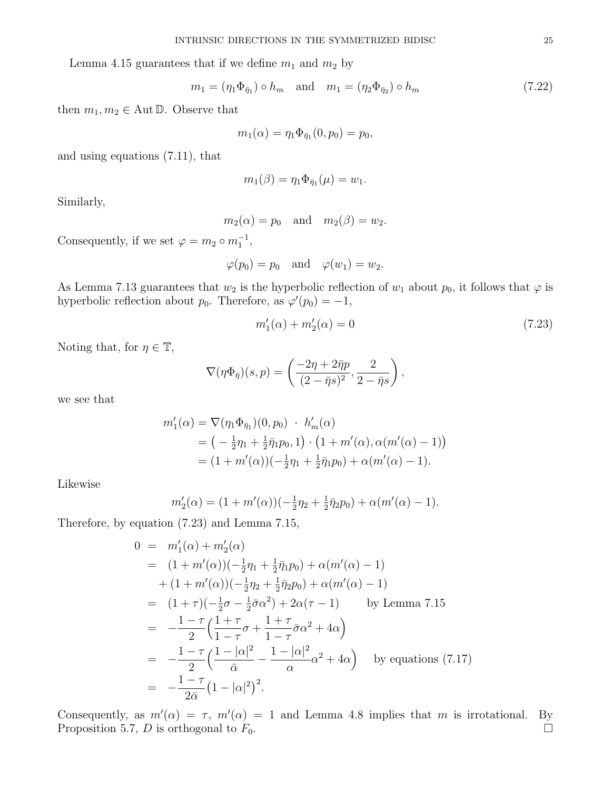Lemma 4.15 guarantees that if we define  $m_1$  and  $m_2$  by

$$
m_1 = (\eta_1 \Phi_{\bar{\eta}_1}) \circ h_m \quad \text{and} \quad m_1 = (\eta_2 \Phi_{\bar{\eta}_2}) \circ h_m \tag{7.22}
$$

then  $m_1, m_2 \in \text{Aut } \mathbb{D}$ . Observe that

$$
m_1(\alpha) = \eta_1 \Phi_{\bar{\eta}_1}(0, p_0) = p_0,
$$

and using equations (7.11), that

$$
m_1(\beta)=\eta_1\Phi_{\bar{\eta}_1}(\mu)=w_1.
$$

Similarly,

$$
m_2(\alpha) = p_0
$$
 and  $m_2(\beta) = w_2$ .

Consequently, if we set  $\varphi = m_2 \circ m_1^{-1}$ ,

$$
\varphi(p_0) = p_0 \quad \text{and} \quad \varphi(w_1) = w_2.
$$

As Lemma 7.13 guarantees that  $w_2$  is the hyperbolic reflection of  $w_1$  about  $p_0$ , it follows that  $\varphi$  is hyperbolic reflection about  $p_0$ . Therefore, as  $\varphi'(p_0) = -1$ ,

$$
m_1'(\alpha) + m_2'(\alpha) = 0 \tag{7.23}
$$

Noting that, for  $\eta \in \mathbb{T}$ ,

$$
\nabla(\eta\Phi_{\bar{\eta}})(s,p) = \left(\frac{-2\eta + 2\bar{\eta}p}{(2-\bar{\eta}s)^2}, \frac{2}{2-\bar{\eta}s}\right),\,
$$

we see that

$$
m'_1(\alpha) = \nabla(\eta_1 \Phi_{\bar{\eta}_1})(0, p_0) \cdot h'_m(\alpha)
$$
  
=  $\left(-\frac{1}{2}\eta_1 + \frac{1}{2}\bar{\eta}_1 p_0, 1\right) \cdot \left(1 + m'(\alpha), \alpha(m'(\alpha) - 1)\right)$   
=  $(1 + m'(\alpha))(-\frac{1}{2}\eta_1 + \frac{1}{2}\bar{\eta}_1 p_0) + \alpha(m'(\alpha) - 1).$ 

Likewise

$$
m'_2(\alpha) = (1 + m'(\alpha))(-\frac{1}{2}\eta_2 + \frac{1}{2}\overline{\eta}_2 p_0) + \alpha(m'(\alpha) - 1).
$$

Therefore, by equation (7.23) and Lemma 7.15,

$$
0 = m'_1(\alpha) + m'_2(\alpha)
$$
  
\n
$$
= (1 + m'(\alpha))(-\frac{1}{2}\eta_1 + \frac{1}{2}\bar{\eta}_1 p_0) + \alpha(m'(\alpha) - 1)
$$
  
\n
$$
+ (1 + m'(\alpha))(-\frac{1}{2}\eta_2 + \frac{1}{2}\bar{\eta}_2 p_0) + \alpha(m'(\alpha) - 1)
$$
  
\n
$$
= (1 + \tau)(-\frac{1}{2}\sigma - \frac{1}{2}\bar{\sigma}\alpha^2) + 2\alpha(\tau - 1) \qquad \text{by Lemma 7.15}
$$
  
\n
$$
= -\frac{1 - \tau}{2} \left(\frac{1 + \tau}{1 - \tau}\sigma + \frac{1 + \tau}{1 - \tau}\bar{\sigma}\alpha^2 + 4\alpha\right)
$$
  
\n
$$
= -\frac{1 - \tau}{2} \left(\frac{1 - |\alpha|^2}{\bar{\alpha}} - \frac{1 - |\alpha|^2}{\alpha}\alpha^2 + 4\alpha\right) \qquad \text{by equations (7.17)}
$$
  
\n
$$
= -\frac{1 - \tau}{2\bar{\alpha}} (1 - |\alpha|^2)^2.
$$

Consequently, as  $m'(\alpha) = \tau$ ,  $m'(\alpha) = 1$  and Lemma 4.8 implies that m is irrotational. By Proposition 5.7, D is orthogonal to  $F_0$ .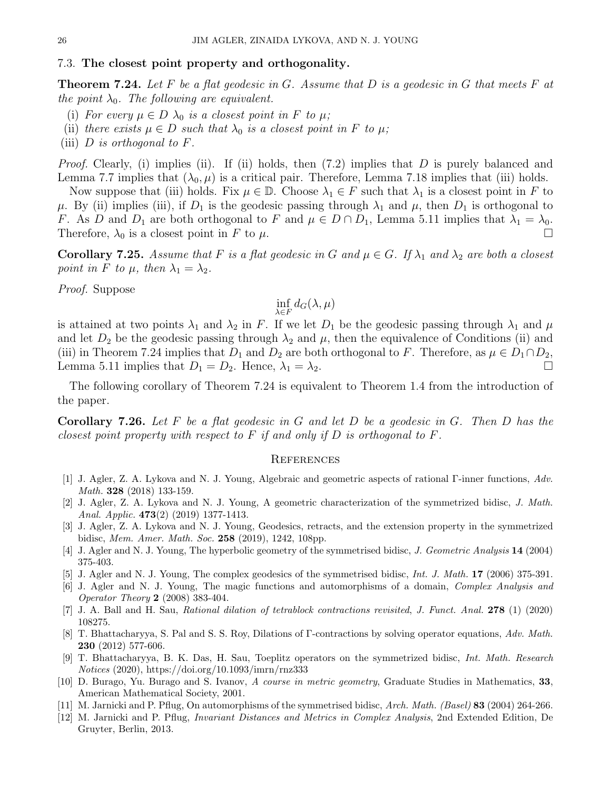## 7.3. The closest point property and orthogonality.

**Theorem 7.24.** Let F be a flat geodesic in G. Assume that D is a geodesic in G that meets F at the point  $\lambda_0$ . The following are equivalent.

- (i) For every  $\mu \in D$   $\lambda_0$  is a closest point in F to  $\mu$ ;
- (ii) there exists  $\mu \in D$  such that  $\lambda_0$  is a closest point in F to  $\mu$ ;
- (iii)  $D$  is orthogonal to  $F$ .

Proof. Clearly, (i) implies (ii). If (ii) holds, then (7.2) implies that D is purely balanced and Lemma 7.7 implies that  $(\lambda_0, \mu)$  is a critical pair. Therefore, Lemma 7.18 implies that (iii) holds.

Now suppose that (iii) holds. Fix  $\mu \in \mathbb{D}$ . Choose  $\lambda_1 \in F$  such that  $\lambda_1$  is a closest point in F to  $\mu$ . By (ii) implies (iii), if  $D_1$  is the geodesic passing through  $\lambda_1$  and  $\mu$ , then  $D_1$  is orthogonal to F. As D and  $D_1$  are both orthogonal to F and  $\mu \in D \cap D_1$ , Lemma 5.11 implies that  $\lambda_1 = \lambda_0$ . Therefore,  $\lambda_0$  is a closest point in F to  $\mu$ .

**Corollary 7.25.** Assume that F is a flat geodesic in G and  $\mu \in G$ . If  $\lambda_1$  and  $\lambda_2$  are both a closest point in F to  $\mu$ , then  $\lambda_1 = \lambda_2$ .

Proof. Suppose

$$
\inf_{\lambda \in F} d_G(\lambda, \mu)
$$

is attained at two points  $\lambda_1$  and  $\lambda_2$  in F. If we let  $D_1$  be the geodesic passing through  $\lambda_1$  and  $\mu$ and let  $D_2$  be the geodesic passing through  $\lambda_2$  and  $\mu$ , then the equivalence of Conditions (ii) and (iii) in Theorem 7.24 implies that  $D_1$  and  $D_2$  are both orthogonal to F. Therefore, as  $\mu \in D_1 \cap D_2$ , Lemma 5.11 implies that  $D_1 = D_2$ . Hence,  $\lambda_1 = \lambda_2$ .

The following corollary of Theorem 7.24 is equivalent to Theorem 1.4 from the introduction of the paper.

**Corollary 7.26.** Let F be a flat geodesic in G and let D be a geodesic in G. Then D has the closest point property with respect to F if and only if D is orthogonal to F.

#### **REFERENCES**

- [1] J. Agler, Z. A. Lykova and N. J. Young, Algebraic and geometric aspects of rational Γ-inner functions, Adv. Math. 328 (2018) 133-159.
- [2] J. Agler, Z. A. Lykova and N. J. Young, A geometric characterization of the symmetrized bidisc, J. Math. Anal. Applic. 473(2) (2019) 1377-1413.
- [3] J. Agler, Z. A. Lykova and N. J. Young, Geodesics, retracts, and the extension property in the symmetrized bidisc, Mem. Amer. Math. Soc. 258 (2019), 1242, 108pp.
- [4] J. Agler and N. J. Young, The hyperbolic geometry of the symmetrised bidisc, J. Geometric Analysis 14 (2004) 375-403.
- [5] J. Agler and N. J. Young, The complex geodesics of the symmetrised bidisc, Int. J. Math. 17 (2006) 375-391.
- [6] J. Agler and N. J. Young, The magic functions and automorphisms of a domain, Complex Analysis and Operator Theory 2 (2008) 383-404.
- [7] J. A. Ball and H. Sau, Rational dilation of tetrablock contractions revisited, J. Funct. Anal. 278 (1) (2020) 108275.
- [8] T. Bhattacharyya, S. Pal and S. S. Roy, Dilations of Γ-contractions by solving operator equations, Adv. Math. 230 (2012) 577-606.
- [9] T. Bhattacharyya, B. K. Das, H. Sau, Toeplitz operators on the symmetrized bidisc, Int. Math. Research Notices (2020), https://doi.org/10.1093/imrn/rnz333
- [10] D. Burago, Yu. Burago and S. Ivanov, A course in metric geometry, Graduate Studies in Mathematics, 33, American Mathematical Society, 2001.
- [11] M. Jarnicki and P. Pflug, On automorphisms of the symmetrised bidisc, Arch. Math. (Basel) 83 (2004) 264-266.
- [12] M. Jarnicki and P. Pflug, Invariant Distances and Metrics in Complex Analysis, 2nd Extended Edition, De Gruyter, Berlin, 2013.